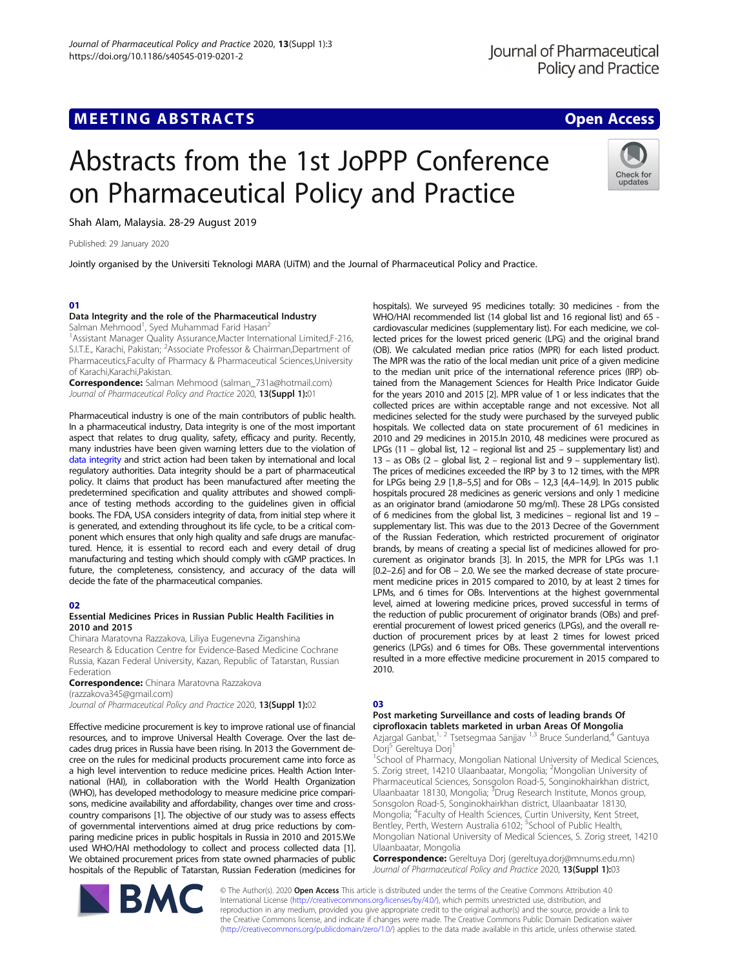Check for updates

# Abstracts from the 1st JoPPP Conference on Pharmaceutical Policy and Practice

Shah Alam, Malaysia. 28-29 August 2019

Published: 29 January 2020

Jointly organised by the Universiti Teknologi MARA (UiTM) and the Journal of Pharmaceutical Policy and Practice.

#### 01

#### Data Integrity and the role of the Pharmaceutical Industry

Salman Mehmood<sup>1</sup>, Syed Muhammad Farid Hasan<sup>2</sup>

<sup>1</sup>Assistant Manager Quality Assurance, Macter International Limited, F-216, S.I.T.E., Karachi, Pakistan; <sup>2</sup> Associate Professor & Chairman, Department of Pharmaceutics,Faculty of Pharmacy & Pharmaceutical Sciences,University of Karachi,Karachi,Pakistan.

Correspondence: Salman Mehmood (salman\_731a@hotmail.com) Journal of Pharmaceutical Policy and Practice 2020, 13(Suppl 1):01

Pharmaceutical industry is one of the main contributors of public health. In a pharmaceutical industry, Data integrity is one of the most important aspect that relates to drug quality, safety, efficacy and purity. Recently, many industries have been given warning letters due to the violation of [data integrity](https://www.fda.gov/NewsEvents/Newsroom/PressAnnouncements/ucm628244.htm) and strict action had been taken by international and local regulatory authorities. Data integrity should be a part of pharmaceutical policy. It claims that product has been manufactured after meeting the predetermined specification and quality attributes and showed compliance of testing methods according to the guidelines given in official books. The FDA, USA considers integrity of data, from initial step where it is generated, and extending throughout its life cycle, to be a critical component which ensures that only high quality and safe drugs are manufactured. Hence, it is essential to record each and every detail of drug manufacturing and testing which should comply with cGMP practices. In future, the completeness, consistency, and accuracy of the data will decide the fate of the pharmaceutical companies.

#### 02

#### Essential Medicines Prices in Russian Public Health Facilities in 2010 and 2015

Chinara Maratovna Razzakova, Liliya Eugenevna Ziganshina Research & Education Centre for Evidence-Based Medicine Cochrane Russia, Kazan Federal University, Kazan, Republic of Tatarstan, Russian Federation

**Correspondence:** Chinara Maratovna Razzakova (razzakova345@gmail.com)

Journal of Pharmaceutical Policy and Practice 2020, 13(Suppl 1):02

Effective medicine procurement is key to improve rational use of financial resources, and to improve Universal Health Coverage. Over the last decades drug prices in Russia have been rising. In 2013 the Government decree on the rules for medicinal products procurement came into force as a high level intervention to reduce medicine prices. Health Action International (HAI), in collaboration with the World Health Organization (WHO), has developed methodology to measure medicine price comparisons, medicine availability and affordability, changes over time and crosscountry comparisons [1]. The objective of our study was to assess effects of governmental interventions aimed at drug price reductions by comparing medicine prices in public hospitals in Russia in 2010 and 2015.We used WHO/HAI methodology to collect and process collected data [1]. We obtained procurement prices from state owned pharmacies of public hospitals of the Republic of Tatarstan, Russian Federation (medicines for



hospitals). We surveyed 95 medicines totally: 30 medicines - from the WHO/HAI recommended list (14 global list and 16 regional list) and 65 cardiovascular medicines (supplementary list). For each medicine, we collected prices for the lowest priced generic (LPG) and the original brand (OB). We calculated median price ratios (MPR) for each listed product. The MPR was the ratio of the local median unit price of a given medicine to the median unit price of the international reference prices (IRP) obtained from the Management Sciences for Health Price Indicator Guide for the years 2010 and 2015 [2]. MPR value of 1 or less indicates that the collected prices are within acceptable range and not excessive. Not all medicines selected for the study were purchased by the surveyed public hospitals. We collected data on state procurement of 61 medicines in 2010 and 29 medicines in 2015.In 2010, 48 medicines were procured as LPGs (11 – global list, 12 – regional list and 25 – supplementary list) and 13 – as OBs (2 – global list, 2 – regional list and 9 – supplementary list). The prices of medicines exceeded the IRP by 3 to 12 times, with the MPR for LPGs being 2.9 [1,8–5,5] and for OBs – 12,3 [4,4–14,9]. In 2015 public hospitals procured 28 medicines as generic versions and only 1 medicine as an originator brand (amiodarone 50 mg/ml). These 28 LPGs consisted of 6 medicines from the global list, 3 medicines – regional list and 19 – supplementary list. This was due to the 2013 Decree of the Government of the Russian Federation, which restricted procurement of originator brands, by means of creating a special list of medicines allowed for procurement as originator brands [3]. In 2015, the MPR for LPGs was 1.1 [0.2–2.6] and for OB – 2.0. We see the marked decrease of state procurement medicine prices in 2015 compared to 2010, by at least 2 times for LPMs, and 6 times for OBs. Interventions at the highest governmental level, aimed at lowering medicine prices, proved successful in terms of the reduction of public procurement of originator brands (OBs) and preferential procurement of lowest priced generics (LPGs), and the overall reduction of procurement prices by at least 2 times for lowest priced generics (LPGs) and 6 times for OBs. These governmental interventions resulted in a more effective medicine procurement in 2015 compared to 2010.

#### 03

#### Post marketing Surveillance and costs of leading brands Of ciprofloxacin tablets marketed in urban Areas Of Mongolia

Azjargal Ganbat,<sup>1, 2</sup> Tsetsegmaa Sanjjav <sup>1,3</sup> Bruce Sunderland,<sup>4</sup> Gantuya Dorj<sup>5</sup> Gereltuya Dorj<sup>1</sup>

<sup>1</sup>School of Pharmacy, Mongolian National University of Medical Sciences, S. Zorig street, 14210 Ulaanbaatar, Mongolia; <sup>2</sup>Mongolian University of Pharmaceutical Sciences, Sonsgolon Road-5, Songinokhairkhan district,<br>Ulaanbaatar 18130, Mongolia; <sup>3</sup>Drug Research Institute, Monos group, Sonsgolon Road-5, Songinokhairkhan district, Ulaanbaatar 18130, Mongolia; <sup>4</sup> Faculty of Health Sciences, Curtin University, Kent Street, Bentley, Perth, Western Australia 6102; <sup>5</sup>School of Public Health, Mongolian National University of Medical Sciences, S. Zorig street, 14210 Ulaanbaatar, Mongolia

Correspondence: Gereltuya Dorj (gereltuya.dorj@mnums.edu.mn) Journal of Pharmaceutical Policy and Practice 2020, 13(Suppl 1):03

© The Author(s). 2020 Open Access This article is distributed under the terms of the Creative Commons Attribution 4.0 International License ([http://creativecommons.org/licenses/by/4.0/\)](http://creativecommons.org/licenses/by/4.0/), which permits unrestricted use, distribution, and reproduction in any medium, provided you give appropriate credit to the original author(s) and the source, provide a link to the Creative Commons license, and indicate if changes were made. The Creative Commons Public Domain Dedication waiver ([http://creativecommons.org/publicdomain/zero/1.0/\)](http://creativecommons.org/publicdomain/zero/1.0/) applies to the data made available in this article, unless otherwise stated.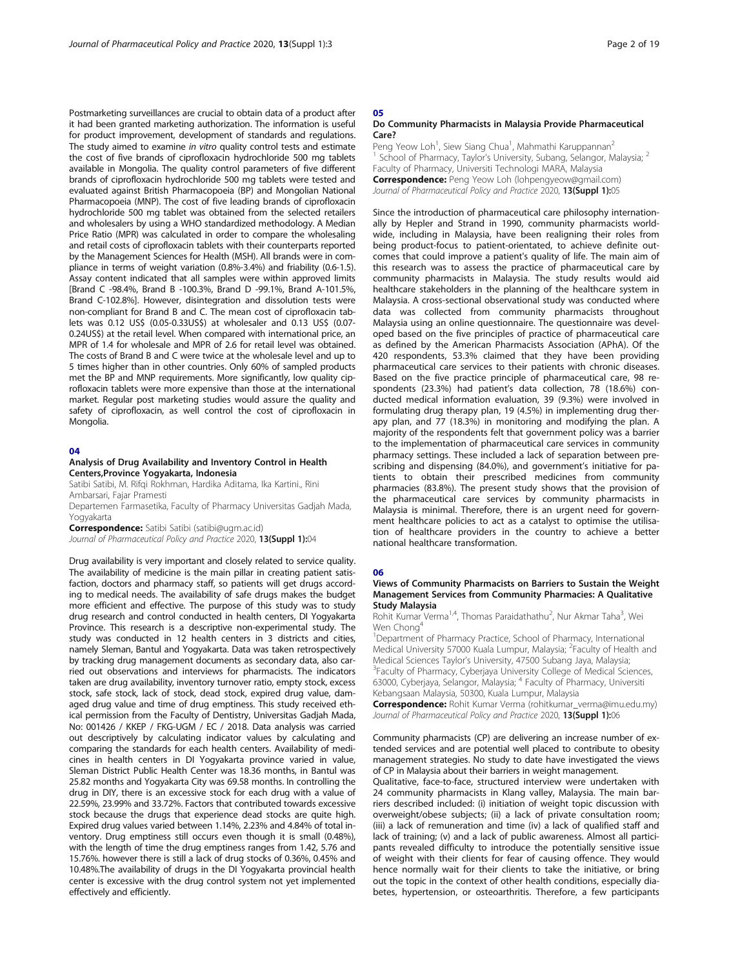Postmarketing surveillances are crucial to obtain data of a product after it had been granted marketing authorization. The information is useful for product improvement, development of standards and regulations. The study aimed to examine in vitro quality control tests and estimate the cost of five brands of ciprofloxacin hydrochloride 500 mg tablets available in Mongolia. The quality control parameters of five different brands of ciprofloxacin hydrochloride 500 mg tablets were tested and evaluated against British Pharmacopoeia (BP) and Mongolian National Pharmacopoeia (MNP). The cost of five leading brands of ciprofloxacin hydrochloride 500 mg tablet was obtained from the selected retailers and wholesalers by using a WHO standardized methodology. A Median Price Ratio (MPR) was calculated in order to compare the wholesaling and retail costs of ciprofloxacin tablets with their counterparts reported by the Management Sciences for Health (MSH). All brands were in compliance in terms of weight variation (0.8%-3.4%) and friability (0.6-1.5). Assay content indicated that all samples were within approved limits [Brand C -98.4%, Brand B -100.3%, Brand D -99.1%, Brand A-101.5%, Brand C-102.8%]. However, disintegration and dissolution tests were non-compliant for Brand B and C. The mean cost of ciprofloxacin tablets was 0.12 US\$ (0.05-0.33US\$) at wholesaler and 0.13 US\$ (0.07- 0.24US\$) at the retail level. When compared with international price, an MPR of 1.4 for wholesale and MPR of 2.6 for retail level was obtained. The costs of Brand B and C were twice at the wholesale level and up to 5 times higher than in other countries. Only 60% of sampled products met the BP and MNP requirements. More significantly, low quality ciprofloxacin tablets were more expensive than those at the international market. Regular post marketing studies would assure the quality and safety of ciprofloxacin, as well control the cost of ciprofloxacin in Mongolia.

#### 04

#### Analysis of Drug Availability and Inventory Control in Health Centers,Province Yogyakarta, Indonesia

Satibi Satibi, M. Rifqi Rokhman, Hardika Aditama, Ika Kartini., Rini Ambarsari, Fajar Pramesti

Departemen Farmasetika, Faculty of Pharmacy Universitas Gadjah Mada, Yogyakarta

Correspondence: Satibi Satibi (satibi@ugm.ac.id)

Journal of Pharmaceutical Policy and Practice 2020, 13(Suppl 1):04

Drug availability is very important and closely related to service quality. The availability of medicine is the main pillar in creating patient satisfaction, doctors and pharmacy staff, so patients will get drugs according to medical needs. The availability of safe drugs makes the budget more efficient and effective. The purpose of this study was to study drug research and control conducted in health centers, DI Yogyakarta Province. This research is a descriptive non-experimental study. The study was conducted in 12 health centers in 3 districts and cities, namely Sleman, Bantul and Yogyakarta. Data was taken retrospectively by tracking drug management documents as secondary data, also carried out observations and interviews for pharmacists. The indicators taken are drug availability, inventory turnover ratio, empty stock, excess stock, safe stock, lack of stock, dead stock, expired drug value, damaged drug value and time of drug emptiness. This study received ethical permission from the Faculty of Dentistry, Universitas Gadjah Mada, No: 001426 / KKEP / FKG-UGM / EC / 2018. Data analysis was carried out descriptively by calculating indicator values by calculating and comparing the standards for each health centers. Availability of medicines in health centers in DI Yogyakarta province varied in value, Sleman District Public Health Center was 18.36 months, in Bantul was 25.82 months and Yogyakarta City was 69.58 months. In controlling the drug in DIY, there is an excessive stock for each drug with a value of 22.59%, 23.99% and 33.72%. Factors that contributed towards excessive stock because the drugs that experience dead stocks are quite high. Expired drug values varied between 1.14%, 2.23% and 4.84% of total inventory. Drug emptiness still occurs even though it is small (0.48%), with the length of time the drug emptiness ranges from 1.42, 5.76 and 15.76%. however there is still a lack of drug stocks of 0.36%, 0.45% and 10.48%.The availability of drugs in the DI Yogyakarta provincial health center is excessive with the drug control system not yet implemented effectively and efficiently.

#### 05

#### Do Community Pharmacists in Malaysia Provide Pharmaceutical Care?

Peng Yeow Loh<sup>1</sup>, Siew Siang Chua<sup>1</sup>, Mahmathi Karuppannan<sup>2</sup> School of Pharmacy, Taylor's University, Subang, Selangor, Malaysia; <sup>2</sup> Faculty of Pharmacy, Universiti Technologi MARA, Malaysia Correspondence: Peng Yeow Loh (lohpengyeow@gmail.com) Journal of Pharmaceutical Policy and Practice 2020, 13(Suppl 1):05

Since the introduction of pharmaceutical care philosophy internationally by Hepler and Strand in 1990, community pharmacists worldwide, including in Malaysia, have been realigning their roles from being product-focus to patient-orientated, to achieve definite outcomes that could improve a patient's quality of life. The main aim of this research was to assess the practice of pharmaceutical care by community pharmacists in Malaysia. The study results would aid healthcare stakeholders in the planning of the healthcare system in Malaysia. A cross-sectional observational study was conducted where data was collected from community pharmacists throughout Malaysia using an online questionnaire. The questionnaire was developed based on the five principles of practice of pharmaceutical care as defined by the American Pharmacists Association (APhA). Of the 420 respondents, 53.3% claimed that they have been providing pharmaceutical care services to their patients with chronic diseases. Based on the five practice principle of pharmaceutical care, 98 respondents (23.3%) had patient's data collection, 78 (18.6%) conducted medical information evaluation, 39 (9.3%) were involved in formulating drug therapy plan, 19 (4.5%) in implementing drug therapy plan, and 77 (18.3%) in monitoring and modifying the plan. A majority of the respondents felt that government policy was a barrier to the implementation of pharmaceutical care services in community pharmacy settings. These included a lack of separation between prescribing and dispensing (84.0%), and government's initiative for patients to obtain their prescribed medicines from community pharmacies (83.8%). The present study shows that the provision of the pharmaceutical care services by community pharmacists in Malaysia is minimal. Therefore, there is an urgent need for government healthcare policies to act as a catalyst to optimise the utilisation of healthcare providers in the country to achieve a better national healthcare transformation.

#### 06

#### Views of Community Pharmacists on Barriers to Sustain the Weight Management Services from Community Pharmacies: A Qualitative Study Malaysia

Rohit Kumar Verma<sup>1,4</sup>, Thomas Paraidathathu<sup>2</sup>, Nur Akmar Taha<sup>3</sup>, Wei Wen Chong<sup>4</sup>

<sup>1</sup>Department of Pharmacy Practice, School of Pharmacy, International Medical University 57000 Kuala Lumpur, Malaysia; <sup>2</sup>Faculty of Health and Medical Sciences Taylor's University, 47500 Subang Jaya, Malaysia; <sup>3</sup> Faculty of Pharmacy, Cyberjaya University College of Medical Sciences, 63000, Cyberjaya, Selangor, Malaysia; <sup>4</sup> Faculty of Pharmacy, Universiti

Kebangsaan Malaysia, 50300, Kuala Lumpur, Malaysia

Correspondence: Rohit Kumar Verma (rohitkumar\_verma@imu.edu.mv) Journal of Pharmaceutical Policy and Practice 2020, 13(Suppl 1):06

Community pharmacists (CP) are delivering an increase number of extended services and are potential well placed to contribute to obesity management strategies. No study to date have investigated the views of CP in Malaysia about their barriers in weight management.

Qualitative, face-to-face, structured interview were undertaken with 24 community pharmacists in Klang valley, Malaysia. The main barriers described included: (i) initiation of weight topic discussion with overweight/obese subjects; (ii) a lack of private consultation room; (iii) a lack of remuneration and time (iv) a lack of qualified staff and lack of training; (v) and a lack of public awareness. Almost all participants revealed difficulty to introduce the potentially sensitive issue of weight with their clients for fear of causing offence. They would hence normally wait for their clients to take the initiative, or bring out the topic in the context of other health conditions, especially diabetes, hypertension, or osteoarthritis. Therefore, a few participants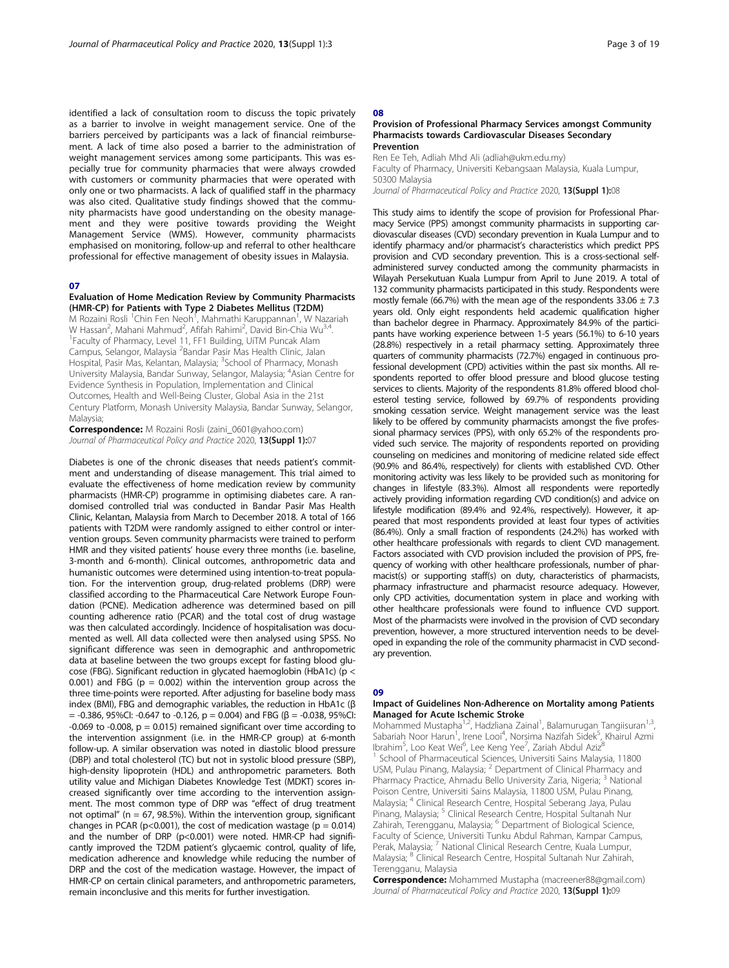identified a lack of consultation room to discuss the topic privately as a barrier to involve in weight management service. One of the barriers perceived by participants was a lack of financial reimbursement. A lack of time also posed a barrier to the administration of weight management services among some participants. This was especially true for community pharmacies that were always crowded with customers or community pharmacies that were operated with only one or two pharmacists. A lack of qualified staff in the pharmacy was also cited. Qualitative study findings showed that the community pharmacists have good understanding on the obesity management and they were positive towards providing the Weight Management Service (WMS). However, community pharmacists emphasised on monitoring, follow-up and referral to other healthcare professional for effective management of obesity issues in Malaysia.

#### 07

#### Evaluation of Home Medication Review by Community Pharmacists (HMR-CP) for Patients with Type 2 Diabetes Mellitus (T2DM)

M Rozaini Rosli <sup>1</sup>Chin Fen Neoh<sup>1</sup>, Mahmathi Karuppannan<sup>1</sup>, W Nazariah W Hassan<sup>2</sup>, Mahani Mahmud<sup>2</sup>, Afifah Rahimi<sup>2</sup>, David Bin-Chia Wu<sup>3,4</sup>.<br><sup>1</sup> Faculty of Pharmacy Lovel 11, EE1 Building, Li<sup>TM</sup> Buncak Alam <sup>1</sup> Faculty of Pharmacy, Level 11, FF1 Building, UiTM Puncak Alam Campus, Selangor, Malaysia <sup>2</sup>Bandar Pasir Mas Health Clinic, Jalan Hospital, Pasir Mas, Kelantan, Malaysia; <sup>3</sup>School of Pharmacy, Monash University Malaysia, Bandar Sunway, Selangor, Malaysia; <sup>4</sup> Asian Centre for Evidence Synthesis in Population, Implementation and Clinical Outcomes, Health and Well-Being Cluster, Global Asia in the 21st Century Platform, Monash University Malaysia, Bandar Sunway, Selangor, Malaysia;

Correspondence: M Rozaini Rosli (zaini 0601@yahoo.com) Journal of Pharmaceutical Policy and Practice 2020, 13(Suppl 1):07

Diabetes is one of the chronic diseases that needs patient's commitment and understanding of disease management. This trial aimed to evaluate the effectiveness of home medication review by community pharmacists (HMR-CP) programme in optimising diabetes care. A randomised controlled trial was conducted in Bandar Pasir Mas Health Clinic, Kelantan, Malaysia from March to December 2018. A total of 166 patients with T2DM were randomly assigned to either control or intervention groups. Seven community pharmacists were trained to perform HMR and they visited patients' house every three months (i.e. baseline, 3-month and 6-month). Clinical outcomes, anthropometric data and humanistic outcomes were determined using intention-to-treat population. For the intervention group, drug-related problems (DRP) were classified according to the Pharmaceutical Care Network Europe Foundation (PCNE). Medication adherence was determined based on pill counting adherence ratio (PCAR) and the total cost of drug wastage was then calculated accordingly. Incidence of hospitalisation was documented as well. All data collected were then analysed using SPSS. No significant difference was seen in demographic and anthropometric data at baseline between the two groups except for fasting blood glucose (FBG). Significant reduction in glycated haemoglobin (HbA1c) (p < 0.001) and FBG ( $p = 0.002$ ) within the intervention group across the three time-points were reported. After adjusting for baseline body mass index (BMI), FBG and demographic variables, the reduction in HbA1c (β  $=$  -0.386, 95%CI: -0.647 to -0.126, p = 0.004) and FBG (β = -0.038, 95%CI:  $-0.069$  to  $-0.008$ ,  $p = 0.015$ ) remained significant over time according to the intervention assignment (i.e. in the HMR-CP group) at 6-month follow-up. A similar observation was noted in diastolic blood pressure (DBP) and total cholesterol (TC) but not in systolic blood pressure (SBP), high-density lipoprotein (HDL) and anthropometric parameters. Both utility value and Michigan Diabetes Knowledge Test (MDKT) scores increased significantly over time according to the intervention assignment. The most common type of DRP was "effect of drug treatment not optimal" ( $n = 67$ , 98.5%). Within the intervention group, significant changes in PCAR ( $p$ <0.001), the cost of medication wastage ( $p = 0.014$ ) and the number of DRP (p<0.001) were noted. HMR-CP had significantly improved the T2DM patient's glycaemic control, quality of life, medication adherence and knowledge while reducing the number of DRP and the cost of the medication wastage. However, the impact of HMR-CP on certain clinical parameters, and anthropometric parameters, remain inconclusive and this merits for further investigation.

#### 08

#### Provision of Professional Pharmacy Services amongst Community Pharmacists towards Cardiovascular Diseases Secondary Prevention

Ren Ee Teh, Adliah Mhd Ali (adliah@ukm.edu.my) Faculty of Pharmacy, Universiti Kebangsaan Malaysia, Kuala Lumpur, 50300 Malaysia Journal of Pharmaceutical Policy and Practice 2020, 13(Suppl 1):08

This study aims to identify the scope of provision for Professional Pharmacy Service (PPS) amongst community pharmacists in supporting cardiovascular diseases (CVD) secondary prevention in Kuala Lumpur and to identify pharmacy and/or pharmacist's characteristics which predict PPS provision and CVD secondary prevention. This is a cross-sectional selfadministered survey conducted among the community pharmacists in Wilayah Persekutuan Kuala Lumpur from April to June 2019. A total of 132 community pharmacists participated in this study. Respondents were mostly female (66.7%) with the mean age of the respondents  $33.06 \pm 7.3$ years old. Only eight respondents held academic qualification higher than bachelor degree in Pharmacy. Approximately 84.9% of the participants have working experience between 1-5 years (56.1%) to 6-10 years (28.8%) respectively in a retail pharmacy setting. Approximately three quarters of community pharmacists (72.7%) engaged in continuous professional development (CPD) activities within the past six months. All respondents reported to offer blood pressure and blood glucose testing services to clients. Majority of the respondents 81.8% offered blood cholesterol testing service, followed by 69.7% of respondents providing smoking cessation service. Weight management service was the least likely to be offered by community pharmacists amongst the five professional pharmacy services (PPS), with only 65.2% of the respondents provided such service. The majority of respondents reported on providing counseling on medicines and monitoring of medicine related side effect (90.9% and 86.4%, respectively) for clients with established CVD. Other monitoring activity was less likely to be provided such as monitoring for changes in lifestyle (83.3%). Almost all respondents were reportedly actively providing information regarding CVD condition(s) and advice on lifestyle modification (89.4% and 92.4%, respectively). However, it appeared that most respondents provided at least four types of activities (86.4%). Only a small fraction of respondents (24.2%) has worked with other healthcare professionals with regards to client CVD management. Factors associated with CVD provision included the provision of PPS, frequency of working with other healthcare professionals, number of pharmacist(s) or supporting staff(s) on duty, characteristics of pharmacists, pharmacy infrastructure and pharmacist resource adequacy. However, only CPD activities, documentation system in place and working with other healthcare professionals were found to influence CVD support. Most of the pharmacists were involved in the provision of CVD secondary prevention, however, a more structured intervention needs to be developed in expanding the role of the community pharmacist in CVD secondary prevention.

#### no

#### Impact of Guidelines Non-Adherence on Mortality among Patients Managed for Acute Ischemic Stroke

Mohammed Mustapha<sup>1,2</sup>, Hadzliana Zainal<sup>1</sup>, Balamurugan Tangiisuran<sup>1,3</sup>, Sabariah Noor Harun<sup>1</sup>, Irene Looi<sup>4</sup>, Norsima Nazifah Sidek<sup>5</sup>, Khairul Azmi Ibrahim<sup>5</sup>, Loo Keat Wei<sup>6</sup>, Lee Keng Yee<sup>7</sup>, Zariah Abdul Aziz<sup>8</sup> <sup>1</sup> School of Pharmaceutical Sciences, Universiti Sains Malaysia, 11800 USM, Pulau Pinang, Malaysia; <sup>2</sup> Department of Clinical Pharmacy and Pharmacy Practice, Ahmadu Bello University Zaria, Nigeria; <sup>3</sup> National Poison Centre, Universiti Sains Malaysia, 11800 USM, Pulau Pinang, Malaysia; <sup>4</sup> Clinical Research Centre, Hospital Seberang Jaya, Pulau Pinang, Malaysia; <sup>5</sup> Clinical Research Centre, Hospital Sultanah Nur Zahirah, Terengganu, Malaysia; <sup>6</sup> Department of Biological Science, Faculty of Science, Universiti Tunku Abdul Rahman, Kampar Campus, Perak, Malaysia; <sup>7</sup> National Clinical Research Centre, Kuala Lumpur, Malaysia; <sup>8</sup> Clinical Research Centre, Hospital Sultanah Nur Zahirah, Terengganu, Malaysia

Correspondence: Mohammed Mustapha (macreener88@gmail.com) Journal of Pharmaceutical Policy and Practice 2020, 13(Suppl 1):09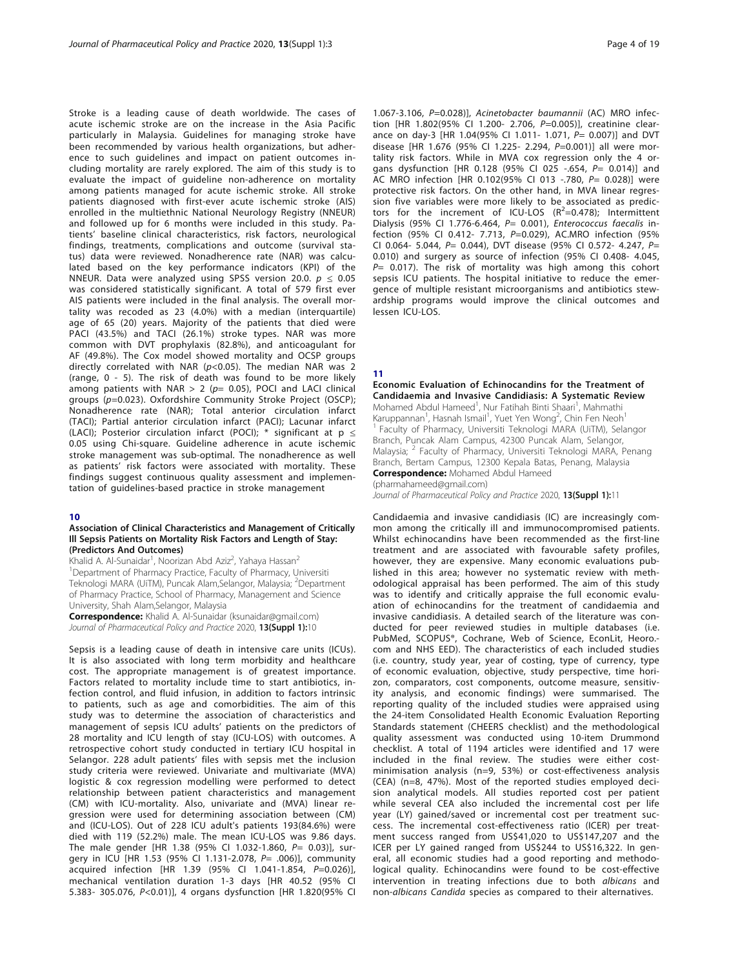Stroke is a leading cause of death worldwide. The cases of acute ischemic stroke are on the increase in the Asia Pacific particularly in Malaysia. Guidelines for managing stroke have been recommended by various health organizations, but adherence to such guidelines and impact on patient outcomes including mortality are rarely explored. The aim of this study is to evaluate the impact of guideline non-adherence on mortality among patients managed for acute ischemic stroke. All stroke patients diagnosed with first-ever acute ischemic stroke (AIS) enrolled in the multiethnic National Neurology Registry (NNEUR) and followed up for 6 months were included in this study. Patients' baseline clinical characteristics, risk factors, neurological findings, treatments, complications and outcome (survival status) data were reviewed. Nonadherence rate (NAR) was calculated based on the key performance indicators (KPI) of the NNEUR. Data were analyzed using SPSS version 20.0.  $p \le 0.05$ was considered statistically significant. A total of 579 first ever AIS patients were included in the final analysis. The overall mortality was recoded as 23 (4.0%) with a median (interquartile) age of 65 (20) years. Majority of the patients that died were PACI (43.5%) and TACI (26.1%) stroke types. NAR was more common with DVT prophylaxis (82.8%), and anticoagulant for AF (49.8%). The Cox model showed mortality and OCSP groups directly correlated with NAR ( $p$ <0.05). The median NAR was 2 (range, 0 - 5). The risk of death was found to be more likely among patients with NAR  $> 2$  ( $p= 0.05$ ), POCI and LACI clinical groups (p=0.023). Oxfordshire Community Stroke Project (OSCP); Nonadherence rate (NAR); Total anterior circulation infarct (TACI); Partial anterior circulation infarct (PACI); Lacunar infarct (LACI); Posterior circulation infarct (POCI); \* significant at  $p \le$ 0.05 using Chi-square. Guideline adherence in acute ischemic stroke management was sub-optimal. The nonadherence as well as patients' risk factors were associated with mortality. These findings suggest continuous quality assessment and implementation of guidelines-based practice in stroke management

#### 10

#### Association of Clinical Characteristics and Management of Critically Ill Sepsis Patients on Mortality Risk Factors and Length of Stay: (Predictors And Outcomes)

Khalid A. Al-Sunaidar<sup>1</sup>, Noorizan Abd Aziz<sup>2</sup>, Yahaya Hassan<sup>2</sup> <sup>1</sup>Department of Pharmacy Practice, Faculty of Pharmacy, Universiti Teknologi MARA (UiTM), Puncak Alam, Selangor, Malaysia; <sup>2</sup>Department of Pharmacy Practice, School of Pharmacy, Management and Science University, Shah Alam,Selangor, Malaysia

Correspondence: Khalid A. Al-Sunaidar (ksunaidar@gmail.com) Journal of Pharmaceutical Policy and Practice 2020, 13(Suppl 1):10

Sepsis is a leading cause of death in intensive care units (ICUs). It is also associated with long term morbidity and healthcare cost. The appropriate management is of greatest importance. Factors related to mortality include time to start antibiotics, infection control, and fluid infusion, in addition to factors intrinsic to patients, such as age and comorbidities. The aim of this study was to determine the association of characteristics and management of sepsis ICU adults' patients on the predictors of 28 mortality and ICU length of stay (ICU-LOS) with outcomes. A retrospective cohort study conducted in tertiary ICU hospital in Selangor. 228 adult patients' files with sepsis met the inclusion study criteria were reviewed. Univariate and multivariate (MVA) logistic & cox regression modelling were performed to detect relationship between patient characteristics and management (CM) with ICU-mortality. Also, univariate and (MVA) linear regression were used for determining association between (CM) and (ICU-LOS). Out of 228 ICU adult's patients 193(84.6%) were died with 119 (52.2%) male. The mean ICU-LOS was 9.86 days. The male gender [HR 1.38 (95% CI 1.032-1.860, P= 0.03)], surgery in ICU [HR 1.53 (95% CI 1.131-2.078, P= .006)], community acquired infection [HR 1.39 (95% CI 1.041-1.854, P=0.026)], mechanical ventilation duration 1-3 days [HR 40.52 (95% CI 5.383- 305.076, P<0.01)], 4 organs dysfunction [HR 1.820(95% CI

1.067-3.106, P=0.028)], Acinetobacter baumannii (AC) MRO infection [HR 1.802(95% CI 1.200- 2.706, P=0.005)], creatinine clearance on day-3 [HR 1.04(95% CI 1.011- 1.071, P= 0.007)] and DVT disease [HR 1.676 (95% CI 1.225- 2.294, P=0.001)] all were mortality risk factors. While in MVA cox regression only the 4 organs dysfunction [HR 0.128 (95% CI 025 -.654, P= 0.014)] and AC MRO infection [HR 0.102(95% CI 013 -.780, P= 0.028)] were protective risk factors. On the other hand, in MVA linear regression five variables were more likely to be associated as predictors for the increment of ICU-LOS  $(R^2=0.478)$ ; Intermittent Dialysis (95% Cl 1.776-6.464,  $P= 0.001$ ), Enterococcus faecalis infection (95% CI 0.412- 7.713, P=0.029), AC.MRO infection (95% CI 0.064- 5.044,  $P = 0.044$ ), DVT disease (95% CI 0.572- 4.247,  $P =$ 0.010) and surgery as source of infection (95% CI 0.408- 4.045,  $P= 0.017$ ). The risk of mortality was high among this cohort sepsis ICU patients. The hospital initiative to reduce the emergence of multiple resistant microorganisms and antibiotics stewardship programs would improve the clinical outcomes and lessen ICU-LOS.

#### 11

Economic Evaluation of Echinocandins for the Treatment of Candidaemia and Invasive Candidiasis: A Systematic Review Mohamed Abdul Hameed<sup>1</sup>, Nur Fatihah Binti Shaari<sup>1</sup>, Mahmathi Karuppannan<sup>1</sup>, Hasnah Ismail<sup>1</sup>, Yuet Yen Wong<sup>2</sup>, Chin Fen Neoh<sup>1</sup> <sup>1</sup> Faculty of Pharmacy, Universiti Teknologi MARA (UiTM), Selangor Branch, Puncak Alam Campus, 42300 Puncak Alam, Selangor, Malaysia; <sup>2</sup> Faculty of Pharmacy, Universiti Teknologi MARA, Penang Branch, Bertam Campus, 12300 Kepala Batas, Penang, Malaysia **Correspondence:** Mohamed Abdul Hameed

(pharmahameed@gmail.com)

Journal of Pharmaceutical Policy and Practice 2020, 13(Suppl 1):11

Candidaemia and invasive candidiasis (IC) are increasingly common among the critically ill and immunocompromised patients. Whilst echinocandins have been recommended as the first-line treatment and are associated with favourable safety profiles, however, they are expensive. Many economic evaluations published in this area; however no systematic review with methodological appraisal has been performed. The aim of this study was to identify and critically appraise the full economic evaluation of echinocandins for the treatment of candidaemia and invasive candidiasis. A detailed search of the literature was conducted for peer reviewed studies in multiple databases (i.e. PubMed, SCOPUS®, Cochrane, Web of Science, EconLit, Heoro. com and NHS EED). The characteristics of each included studies (i.e. country, study year, year of costing, type of currency, type of economic evaluation, objective, study perspective, time horizon, comparators, cost components, outcome measure, sensitivity analysis, and economic findings) were summarised. The reporting quality of the included studies were appraised using the 24-item Consolidated Health Economic Evaluation Reporting Standards statement (CHEERS checklist) and the methodological quality assessment was conducted using 10-item Drummond checklist. A total of 1194 articles were identified and 17 were included in the final review. The studies were either costminimisation analysis (n=9, 53%) or cost-effectiveness analysis (CEA) (n=8, 47%). Most of the reported studies employed decision analytical models. All studies reported cost per patient while several CEA also included the incremental cost per life year (LY) gained/saved or incremental cost per treatment success. The incremental cost-effectiveness ratio (ICER) per treatment success ranged from US\$41,020 to US\$147,207 and the ICER per LY gained ranged from US\$244 to US\$16,322. In general, all economic studies had a good reporting and methodological quality. Echinocandins were found to be cost-effective intervention in treating infections due to both albicans and non-albicans Candida species as compared to their alternatives.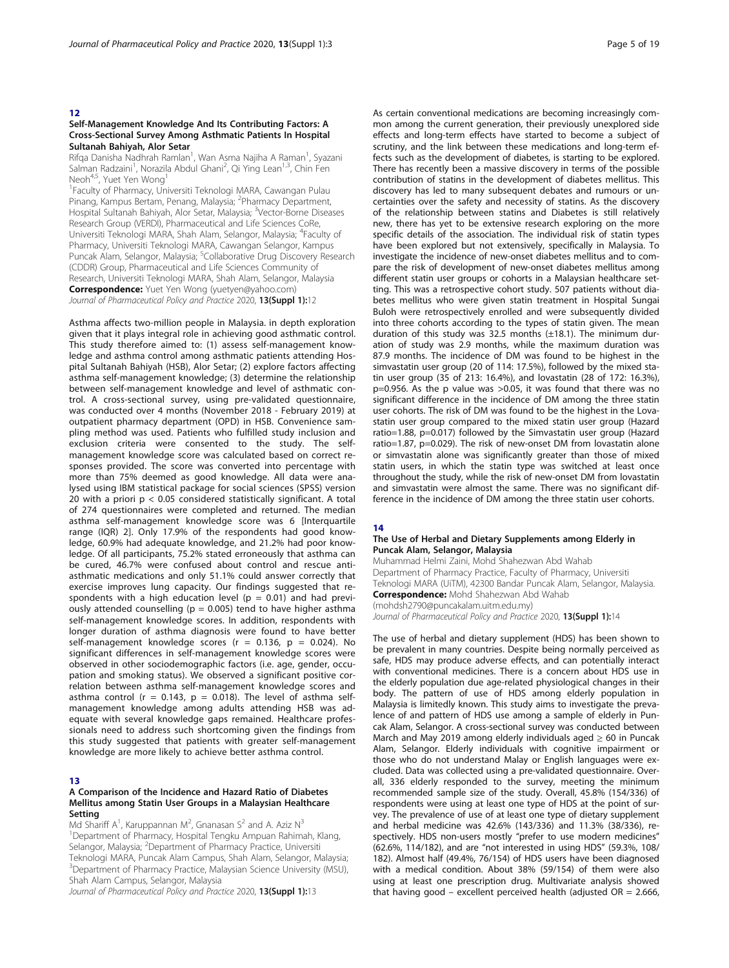#### 12

#### Self-Management Knowledge And Its Contributing Factors: A Cross-Sectional Survey Among Asthmatic Patients In Hospital Sultanah Bahiyah, Alor Setar

Rifqa Danisha Nadhrah Ramlan<sup>1</sup>, Wan Asma Najiha A Raman<sup>1</sup>, Syazani Salman Radzaini<sup>1</sup>, Norazila Abdul Ghani<sup>2</sup>, Qi Ying Lean<sup>1,3</sup>, Chin Fen Neoh<sup>4,5</sup>, Yuet Yen Wong<sup>1</sup>

1 Faculty of Pharmacy, Universiti Teknologi MARA, Cawangan Pulau Pinang, Kampus Bertam, Penang, Malaysia; <sup>2</sup>Pharmacy Department, Hospital Sultanah Bahiyah, Alor Setar, Malaysia; <sup>3</sup>Vector-Borne Diseases Research Group (VERDI), Pharmaceutical and Life Sciences CoRe, Universiti Teknologi MARA, Shah Alam, Selangor, Malaysia; <sup>4</sup>Faculty of Pharmacy, Universiti Teknologi MARA, Cawangan Selangor, Kampus Puncak Alam, Selangor, Malaysia; <sup>5</sup>Collaborative Drug Discovery Research (CDDR) Group, Pharmaceutical and Life Sciences Community of Research, Universiti Teknologi MARA, Shah Alam, Selangor, Malaysia **Correspondence:** Yuet Yen Wong (yuetyen@yahoo.com) Journal of Pharmaceutical Policy and Practice 2020, 13(Suppl 1):12

Asthma affects two-million people in Malaysia. in depth exploration given that it plays integral role in achieving good asthmatic control. This study therefore aimed to: (1) assess self-management knowledge and asthma control among asthmatic patients attending Hospital Sultanah Bahiyah (HSB), Alor Setar; (2) explore factors affecting asthma self-management knowledge; (3) determine the relationship between self-management knowledge and level of asthmatic control. A cross-sectional survey, using pre-validated questionnaire, was conducted over 4 months (November 2018 - February 2019) at outpatient pharmacy department (OPD) in HSB. Convenience sampling method was used. Patients who fulfilled study inclusion and exclusion criteria were consented to the study. The selfmanagement knowledge score was calculated based on correct responses provided. The score was converted into percentage with more than 75% deemed as good knowledge. All data were analysed using IBM statistical package for social sciences (SPSS) version 20 with a priori p < 0.05 considered statistically significant. A total of 274 questionnaires were completed and returned. The median asthma self-management knowledge score was 6 [Interquartile range (IQR) 2]. Only 17.9% of the respondents had good knowledge, 60.9% had adequate knowledge, and 21.2% had poor knowledge. Of all participants, 75.2% stated erroneously that asthma can be cured, 46.7% were confused about control and rescue antiasthmatic medications and only 51.1% could answer correctly that exercise improves lung capacity. Our findings suggested that respondents with a high education level ( $p = 0.01$ ) and had previously attended counselling ( $p = 0.005$ ) tend to have higher asthma self-management knowledge scores. In addition, respondents with longer duration of asthma diagnosis were found to have better self-management knowledge scores ( $r = 0.136$ ,  $p = 0.024$ ). No significant differences in self-management knowledge scores were observed in other sociodemographic factors (i.e. age, gender, occupation and smoking status). We observed a significant positive correlation between asthma self-management knowledge scores and asthma control ( $r = 0.143$ ,  $p = 0.018$ ). The level of asthma selfmanagement knowledge among adults attending HSB was adequate with several knowledge gaps remained. Healthcare professionals need to address such shortcoming given the findings from this study suggested that patients with greater self-management knowledge are more likely to achieve better asthma control.

#### 13

#### A Comparison of the Incidence and Hazard Ratio of Diabetes Mellitus among Statin User Groups in a Malaysian Healthcare Setting

Md Shariff A<sup>1</sup>, Karuppannan M<sup>2</sup>, Gnanasan S<sup>2</sup> and A. Aziz N<sup>3</sup> 1 Department of Pharmacy, Hospital Tengku Ampuan Rahimah, Klang, Selangor, Malaysia; <sup>2</sup>Department of Pharmacy Practice, Universiti Teknologi MARA, Puncak Alam Campus, Shah Alam, Selangor, Malaysia; <sup>3</sup>Department of Pharmacy Practice, Malaysian Science University (MSU), Shah Alam Campus, Selangor, Malaysia

Journal of Pharmaceutical Policy and Practice 2020, 13(Suppl 1):13

As certain conventional medications are becoming increasingly common among the current generation, their previously unexplored side effects and long-term effects have started to become a subject of scrutiny, and the link between these medications and long-term effects such as the development of diabetes, is starting to be explored. There has recently been a massive discovery in terms of the possible contribution of statins in the development of diabetes mellitus. This discovery has led to many subsequent debates and rumours or uncertainties over the safety and necessity of statins. As the discovery of the relationship between statins and Diabetes is still relatively new, there has yet to be extensive research exploring on the more specific details of the association. The individual risk of statin types have been explored but not extensively, specifically in Malaysia. To investigate the incidence of new-onset diabetes mellitus and to compare the risk of development of new-onset diabetes mellitus among different statin user groups or cohorts in a Malaysian healthcare setting. This was a retrospective cohort study. 507 patients without diabetes mellitus who were given statin treatment in Hospital Sungai Buloh were retrospectively enrolled and were subsequently divided into three cohorts according to the types of statin given. The mean duration of this study was 32.5 months (±18.1). The minimum duration of study was 2.9 months, while the maximum duration was 87.9 months. The incidence of DM was found to be highest in the simvastatin user group (20 of 114: 17.5%), followed by the mixed statin user group (35 of 213: 16.4%), and lovastatin (28 of 172: 16.3%), p=0.956. As the p value was >0.05, it was found that there was no significant difference in the incidence of DM among the three statin user cohorts. The risk of DM was found to be the highest in the Lovastatin user group compared to the mixed statin user group (Hazard ratio=1.88, p=0.017) followed by the Simvastatin user group (Hazard ratio=1.87, p=0.029). The risk of new-onset DM from lovastatin alone or simvastatin alone was significantly greater than those of mixed statin users, in which the statin type was switched at least once throughout the study, while the risk of new-onset DM from lovastatin and simvastatin were almost the same. There was no significant difference in the incidence of DM among the three statin user cohorts.

#### 14

#### The Use of Herbal and Dietary Supplements among Elderly in Puncak Alam, Selangor, Malaysia

Muhammad Helmi Zaini, Mohd Shahezwan Abd Wahab Department of Pharmacy Practice, Faculty of Pharmacy, Universiti Teknologi MARA (UiTM), 42300 Bandar Puncak Alam, Selangor, Malaysia. **Correspondence:** Mohd Shahezwan Abd Wahab (mohdsh2790@puncakalam.uitm.edu.my)

Journal of Pharmaceutical Policy and Practice 2020, 13(Suppl 1):14

The use of herbal and dietary supplement (HDS) has been shown to be prevalent in many countries. Despite being normally perceived as safe, HDS may produce adverse effects, and can potentially interact with conventional medicines. There is a concern about HDS use in the elderly population due age-related physiological changes in their body. The pattern of use of HDS among elderly population in Malaysia is limitedly known. This study aims to investigate the prevalence of and pattern of HDS use among a sample of elderly in Puncak Alam, Selangor. A cross-sectional survey was conducted between March and May 2019 among elderly individuals aged  $\geq 60$  in Puncak Alam, Selangor. Elderly individuals with cognitive impairment or those who do not understand Malay or English languages were excluded. Data was collected using a pre-validated questionnaire. Overall, 336 elderly responded to the survey, meeting the minimum recommended sample size of the study. Overall, 45.8% (154/336) of respondents were using at least one type of HDS at the point of survey. The prevalence of use of at least one type of dietary supplement and herbal medicine was 42.6% (143/336) and 11.3% (38/336), respectively. HDS non-users mostly "prefer to use modern medicines" (62.6%, 114/182), and are "not interested in using HDS" (59.3%, 108/ 182). Almost half (49.4%, 76/154) of HDS users have been diagnosed with a medical condition. About 38% (59/154) of them were also using at least one prescription drug. Multivariate analysis showed that having good – excellent perceived health (adjusted OR = 2.666,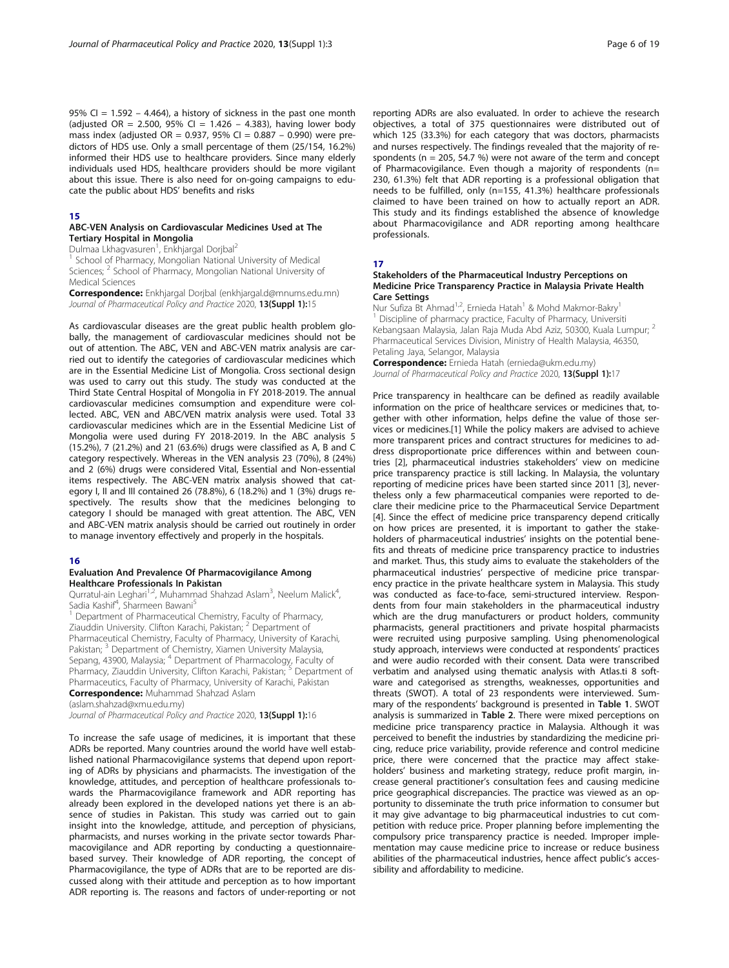95% CI =  $1.592 - 4.464$ ), a history of sickness in the past one month (adjusted OR = 2.500, 95% CI = 1.426 - 4.383), having lower body mass index (adjusted OR =  $0.937$ , 95% CI =  $0.887 - 0.990$ ) were predictors of HDS use. Only a small percentage of them (25/154, 16.2%) informed their HDS use to healthcare providers. Since many elderly individuals used HDS, healthcare providers should be more vigilant about this issue. There is also need for on-going campaigns to educate the public about HDS' benefits and risks

#### 15

#### ABC-VEN Analysis on Cardiovascular Medicines Used at The Tertiary Hospital in Mongolia

Dulmaa Lkhagvasuren<sup>1</sup>, Enkhjargal Dorjbal<sup>2</sup>

<sup>1</sup> School of Pharmacy, Mongolian National University of Medical Sciences; <sup>2</sup> School of Pharmacy, Mongolian National University of Medical Sciences

Correspondence: Enkhjargal Dorjbal (enkhjargal.d@mnums.edu.mn) Journal of Pharmaceutical Policy and Practice 2020, 13(Suppl 1):15

As cardiovascular diseases are the great public health problem globally, the management of cardiovascular medicines should not be out of attention. The ABC, VEN and ABC-VEN matrix analysis are carried out to identify the categories of cardiovascular medicines which are in the Essential Medicine List of Mongolia. Cross sectional design was used to carry out this study. The study was conducted at the Third State Central Hospital of Mongolia in FY 2018-2019. The annual cardiovascular medicines comsumption and expenditure were collected. ABC, VEN and ABC/VEN matrix analysis were used. Total 33 cardiovascular medicines which are in the Essential Medicine List of Mongolia were used during FY 2018-2019. In the ABC analysis 5 (15.2%), 7 (21.2%) and 21 (63.6%) drugs were classified as A, B and C category respectively. Whereas in the VEN analysis 23 (70%), 8 (24%) and 2 (6%) drugs were considered Vital, Essential and Non-essential items respectively. The ABC-VEN matrix analysis showed that category I, II and III contained 26 (78.8%), 6 (18.2%) and 1 (3%) drugs respectively. The results show that the medicines belonging to category I should be managed with great attention. The ABC, VEN and ABC-VEN matrix analysis should be carried out routinely in order to manage inventory effectively and properly in the hospitals.

### 16

#### Evaluation And Prevalence Of Pharmacovigilance Among Healthcare Professionals In Pakistan

Qurratul-ain Leghari<sup>1,2</sup>, Muhammad Shahzad Aslam<sup>3</sup>, Neelum Malick<sup>4</sup> , Sadia Kashif<sup>4</sup>, Sharmeen Bawani<sup>5</sup>

<sup>1</sup> Department of Pharmaceutical Chemistry, Faculty of Pharmacy, Ziauddin University. Clifton Karachi, Pakistan; <sup>2</sup> Department of Pharmaceutical Chemistry, Faculty of Pharmacy, University of Karachi, Pakistan; <sup>3</sup> Department of Chemistry, Xiamen University Malaysia, Sepang, 43900, Malaysia; <sup>4</sup> Department of Pharmacology, Faculty of Pharmacy, Ziauddin University, Clifton Karachi, Pakistan; <sup>5</sup> Department of Pharmaceutics, Faculty of Pharmacy, University of Karachi, Pakistan **Correspondence:** Muhammad Shahzad Aslam

(aslam.shahzad@xmu.edu.my)

Journal of Pharmaceutical Policy and Practice 2020, 13(Suppl 1):16

To increase the safe usage of medicines, it is important that these ADRs be reported. Many countries around the world have well established national Pharmacovigilance systems that depend upon reporting of ADRs by physicians and pharmacists. The investigation of the knowledge, attitudes, and perception of healthcare professionals towards the Pharmacovigilance framework and ADR reporting has already been explored in the developed nations yet there is an absence of studies in Pakistan. This study was carried out to gain insight into the knowledge, attitude, and perception of physicians, pharmacists, and nurses working in the private sector towards Pharmacovigilance and ADR reporting by conducting a questionnairebased survey. Their knowledge of ADR reporting, the concept of Pharmacovigilance, the type of ADRs that are to be reported are discussed along with their attitude and perception as to how important ADR reporting is. The reasons and factors of under-reporting or not

reporting ADRs are also evaluated. In order to achieve the research objectives, a total of 375 questionnaires were distributed out of which 125 (33.3%) for each category that was doctors, pharmacists and nurses respectively. The findings revealed that the majority of respondents ( $n = 205$ , 54.7 %) were not aware of the term and concept of Pharmacovigilance. Even though a majority of respondents (n= 230, 61.3%) felt that ADR reporting is a professional obligation that needs to be fulfilled, only (n=155, 41.3%) healthcare professionals claimed to have been trained on how to actually report an ADR. This study and its findings established the absence of knowledge about Pharmacovigilance and ADR reporting among healthcare professionals.

#### 17

#### Stakeholders of the Pharmaceutical Industry Perceptions on Medicine Price Transparency Practice in Malaysia Private Health Care Settings

Nur Sufiza Bt Ahmad<sup>1,2</sup>, Ernieda Hatah<sup>1</sup> & Mohd Makmor-Bakry<sup>1</sup> <sup>1</sup> Discipline of pharmacy practice, Faculty of Pharmacy, Universiti Kebangsaan Malaysia, Jalan Raja Muda Abd Aziz, 50300, Kuala Lumpur; <sup>2</sup> Pharmaceutical Services Division, Ministry of Health Malaysia, 46350, Petaling Jaya, Selangor, Malaysia Correspondence: Ernieda Hatah (ernieda@ukm.edu.my)

Journal of Pharmaceutical Policy and Practice 2020, 13(Suppl 1):17

Price transparency in healthcare can be defined as readily available information on the price of healthcare services or medicines that, together with other information, helps define the value of those services or medicines.[1] While the policy makers are advised to achieve more transparent prices and contract structures for medicines to address disproportionate price differences within and between countries [2], pharmaceutical industries stakeholders' view on medicine price transparency practice is still lacking. In Malaysia, the voluntary reporting of medicine prices have been started since 2011 [3], nevertheless only a few pharmaceutical companies were reported to declare their medicine price to the Pharmaceutical Service Department [4]. Since the effect of medicine price transparency depend critically on how prices are presented, it is important to gather the stakeholders of pharmaceutical industries' insights on the potential benefits and threats of medicine price transparency practice to industries and market. Thus, this study aims to evaluate the stakeholders of the pharmaceutical industries' perspective of medicine price transparency practice in the private healthcare system in Malaysia. This study was conducted as face-to-face, semi-structured interview. Respondents from four main stakeholders in the pharmaceutical industry which are the drug manufacturers or product holders, community pharmacists, general practitioners and private hospital pharmacists were recruited using purposive sampling. Using phenomenological study approach, interviews were conducted at respondents' practices and were audio recorded with their consent. Data were transcribed verbatim and analysed using thematic analysis with Atlas.ti 8 software and categorised as strengths, weaknesses, opportunities and threats (SWOT). A total of 23 respondents were interviewed. Summary of the respondents' background is presented in Table 1. SWOT analysis is summarized in Table 2. There were mixed perceptions on medicine price transparency practice in Malaysia. Although it was perceived to benefit the industries by standardizing the medicine pricing, reduce price variability, provide reference and control medicine price, there were concerned that the practice may affect stakeholders' business and marketing strategy, reduce profit margin, increase general practitioner's consultation fees and causing medicine price geographical discrepancies. The practice was viewed as an opportunity to disseminate the truth price information to consumer but it may give advantage to big pharmaceutical industries to cut competition with reduce price. Proper planning before implementing the compulsory price transparency practice is needed. Improper implementation may cause medicine price to increase or reduce business abilities of the pharmaceutical industries, hence affect public's accessibility and affordability to medicine.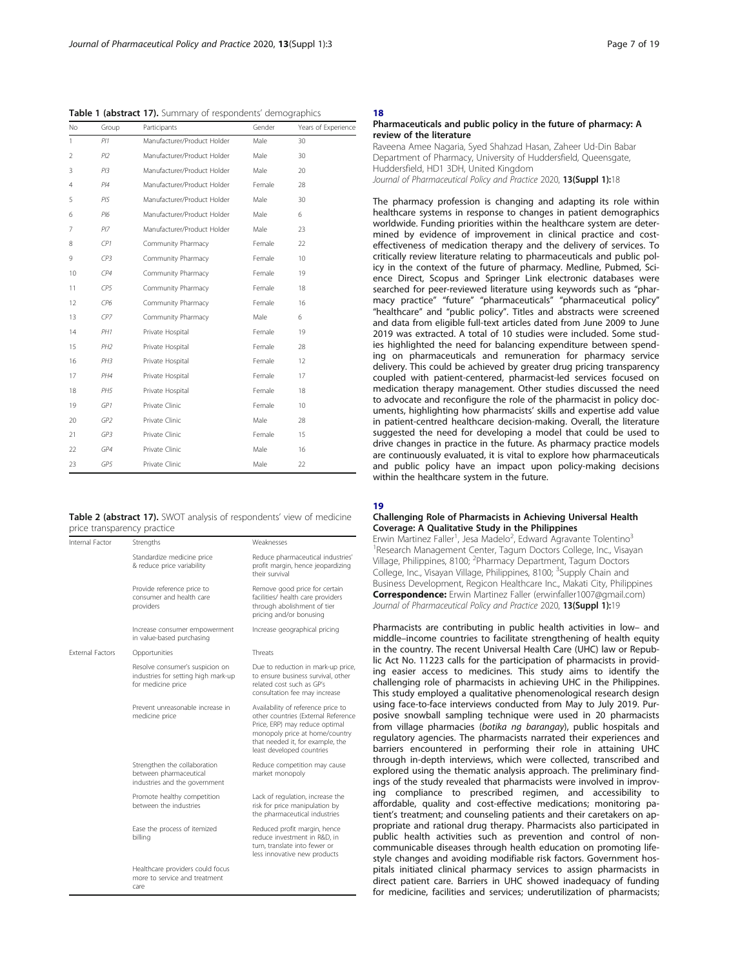Table 1 (abstract 17). Summary of respondents' demographics

| No.            | Group           | Participants                | Gender | Years of Experience |
|----------------|-----------------|-----------------------------|--------|---------------------|
| 1              | PI1             | Manufacturer/Product Holder | Male   | 30                  |
| 2              | PI2             | Manufacturer/Product Holder | Male   | 30                  |
| $\overline{3}$ | PI3             | Manufacturer/Product Holder | Male   | 20                  |
| 4              | PI4             | Manufacturer/Product Holder | Female | 28                  |
| 5              | PI5             | Manufacturer/Product Holder | Male   | 30                  |
| 6              | P16             | Manufacturer/Product Holder | Male   | 6                   |
| 7              | PI7             | Manufacturer/Product Holder | Male   | 23                  |
| 8              | CP1             | Community Pharmacy          | Female | 22                  |
| 9              | CP3             | Community Pharmacy          | Female | 10                  |
| 10             | CP4             | Community Pharmacy          | Female | 19                  |
| 11             | CP5             | Community Pharmacy          | Female | 18                  |
| 12             | CP6             | Community Pharmacy          | Female | 16                  |
| 13             | CP7             | Community Pharmacy          | Male   | 6                   |
| 14             | PH1             | Private Hospital            | Female | 19                  |
| 15             | PH <sub>2</sub> | Private Hospital            | Female | 28                  |
| 16             | PH3             | Private Hospital            | Female | 12                  |
| 17             | PH4             | Private Hospital            | Female | 17                  |
| 18             | PH5             | Private Hospital            | Female | 18                  |
| 19             | GP1             | Private Clinic              | Female | 10                  |
| 20             | GP <sub>2</sub> | Private Clinic              | Male   | 28                  |
| 21             | GP3             | Private Clinic              | Female | 15                  |
| 22             | GP4             | Private Clinic              | Male   | 16                  |
| 23             | GP5             | Private Clinic              | Male   | 22                  |
|                |                 |                             |        |                     |

Table 2 (abstract 17). SWOT analysis of respondents' view of medicine price transparency practice

| Internal Factor         | Strengths                                                                                    | Weaknesses                                                                                                                                                                                                     |  |
|-------------------------|----------------------------------------------------------------------------------------------|----------------------------------------------------------------------------------------------------------------------------------------------------------------------------------------------------------------|--|
|                         | Standardize medicine price<br>& reduce price variability                                     | Reduce pharmaceutical industries'<br>profit margin, hence jeopardizing<br>their survival                                                                                                                       |  |
|                         | Provide reference price to<br>consumer and health care<br>providers                          | Remove good price for certain<br>facilities/ health care providers<br>through abolishment of tier<br>pricing and/or bonusing                                                                                   |  |
|                         | Increase consumer empowerment<br>in value-based purchasing                                   | Increase geographical pricing                                                                                                                                                                                  |  |
| <b>External Factors</b> | Opportunities                                                                                | Threats                                                                                                                                                                                                        |  |
|                         | Resolve consumer's suspicion on<br>industries for setting high mark-up<br>for medicine price | Due to reduction in mark-up price,<br>to ensure business survival, other<br>related cost such as GP's<br>consultation fee may increase                                                                         |  |
|                         | Prevent unreasonable increase in<br>medicine price                                           | Availability of reference price to<br>other countries (External Reference<br>Price, ERP) may reduce optimal<br>monopoly price at home/country<br>that needed it, for example, the<br>least developed countries |  |
|                         | Strengthen the collaboration<br>between pharmaceutical<br>industries and the government      | Reduce competition may cause<br>market monopoly                                                                                                                                                                |  |
|                         | Promote healthy competition<br>between the industries                                        | Lack of regulation, increase the<br>risk for price manipulation by<br>the pharmaceutical industries                                                                                                            |  |
|                         | Ease the process of itemized<br>billing                                                      | Reduced profit margin, hence<br>reduce investment in R&D, in<br>turn, translate into fewer or<br>less innovative new products                                                                                  |  |
|                         | Healthcare providers could focus<br>more to service and treatment<br>care                    |                                                                                                                                                                                                                |  |

## 18

#### Pharmaceuticals and public policy in the future of pharmacy: A review of the literature

Raveena Amee Nagaria, Syed Shahzad Hasan, Zaheer Ud-Din Babar Department of Pharmacy, University of Huddersfield, Queensgate, Huddersfield, HD1 3DH, United Kingdom Journal of Pharmaceutical Policy and Practice 2020, 13(Suppl 1):18

The pharmacy profession is changing and adapting its role within healthcare systems in response to changes in patient demographics worldwide. Funding priorities within the healthcare system are determined by evidence of improvement in clinical practice and costeffectiveness of medication therapy and the delivery of services. To critically review literature relating to pharmaceuticals and public policy in the context of the future of pharmacy. Medline, Pubmed, Science Direct, Scopus and Springer Link electronic databases were searched for peer-reviewed literature using keywords such as "pharmacy practice" "future" "pharmaceuticals" "pharmaceutical policy" "healthcare" and "public policy". Titles and abstracts were screened and data from eligible full-text articles dated from June 2009 to June 2019 was extracted. A total of 10 studies were included. Some studies highlighted the need for balancing expenditure between spending on pharmaceuticals and remuneration for pharmacy service delivery. This could be achieved by greater drug pricing transparency coupled with patient-centered, pharmacist-led services focused on medication therapy management. Other studies discussed the need to advocate and reconfigure the role of the pharmacist in policy documents, highlighting how pharmacists' skills and expertise add value in patient-centred healthcare decision-making. Overall, the literature suggested the need for developing a model that could be used to drive changes in practice in the future. As pharmacy practice models are continuously evaluated, it is vital to explore how pharmaceuticals and public policy have an impact upon policy-making decisions within the healthcare system in the future.

#### 19

#### Challenging Role of Pharmacists in Achieving Universal Health Coverage: A Qualitative Study in the Philippines

Erwin Martinez Faller<sup>1</sup>, Jesa Madelo<sup>2</sup>, Edward Agravante Tolentino<sup>3</sup> <sup>1</sup>Research Management Center, Tagum Doctors College, Inc., Visayan Village, Philippines, 8100; <sup>2</sup>Pharmacy Department, Tagum Doctors College, Inc., Visayan Village, Philippines, 8100; <sup>3</sup>Supply Chain and Business Development, Regicon Healthcare Inc., Makati City, Philippines Correspondence: Erwin Martinez Faller (erwinfaller1007@gmail.com) Journal of Pharmaceutical Policy and Practice 2020, 13(Suppl 1):19

Pharmacists are contributing in public health activities in low– and middle–income countries to facilitate strengthening of health equity in the country. The recent Universal Health Care (UHC) law or Republic Act No. 11223 calls for the participation of pharmacists in providing easier access to medicines. This study aims to identify the challenging role of pharmacists in achieving UHC in the Philippines. This study employed a qualitative phenomenological research design using face-to-face interviews conducted from May to July 2019. Purposive snowball sampling technique were used in 20 pharmacists from village pharmacies (botika ng barangay), public hospitals and regulatory agencies. The pharmacists narrated their experiences and barriers encountered in performing their role in attaining UHC through in-depth interviews, which were collected, transcribed and explored using the thematic analysis approach. The preliminary findings of the study revealed that pharmacists were involved in improving compliance to prescribed regimen, and accessibility to affordable, quality and cost-effective medications; monitoring patient's treatment; and counseling patients and their caretakers on appropriate and rational drug therapy. Pharmacists also participated in public health activities such as prevention and control of noncommunicable diseases through health education on promoting lifestyle changes and avoiding modifiable risk factors. Government hospitals initiated clinical pharmacy services to assign pharmacists in direct patient care. Barriers in UHC showed inadequacy of funding for medicine, facilities and services; underutilization of pharmacists;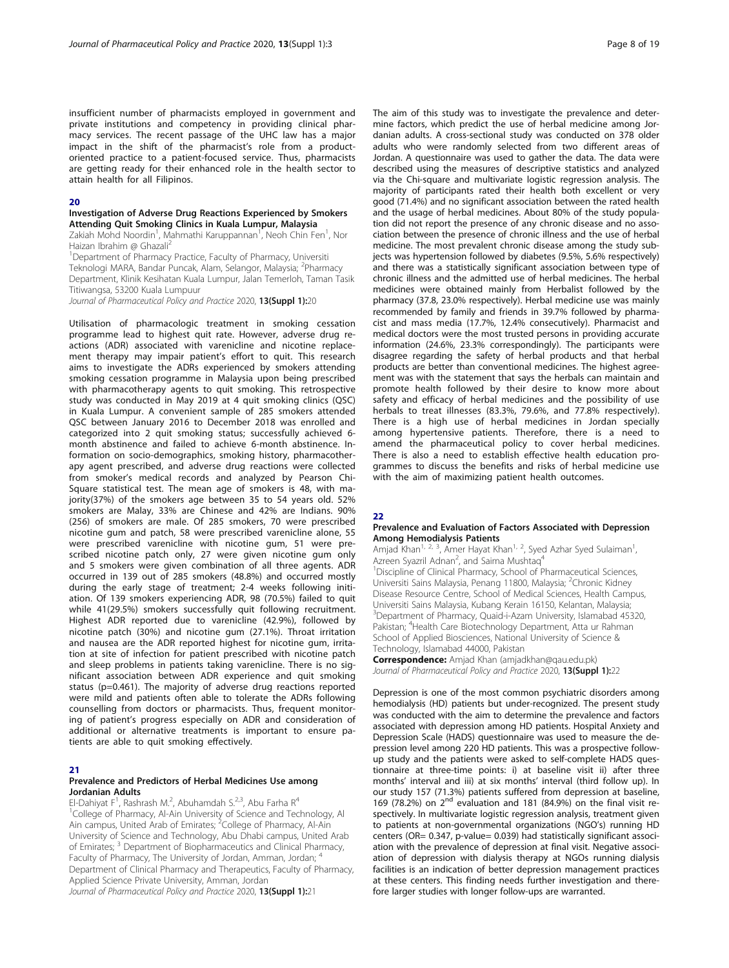insufficient number of pharmacists employed in government and private institutions and competency in providing clinical pharmacy services. The recent passage of the UHC law has a major impact in the shift of the pharmacist's role from a productoriented practice to a patient-focused service. Thus, pharmacists are getting ready for their enhanced role in the health sector to attain health for all Filipinos.

#### 20

#### Investigation of Adverse Drug Reactions Experienced by Smokers Attending Quit Smoking Clinics in Kuala Lumpur, Malaysia

Zakiah Mohd Noordin<sup>1</sup>, Mahmathi Karuppannan<sup>1</sup>, Neoh Chin Fen<sup>1</sup>, Nor Haizan Ibrahim @ Ghazali2

<sup>1</sup>Department of Pharmacy Practice, Faculty of Pharmacy, Universiti Teknologi MARA, Bandar Puncak, Alam, Selangor, Malaysia; <sup>2</sup>Pharmacy Department, Klinik Kesihatan Kuala Lumpur, Jalan Temerloh, Taman Tasik Titiwangsa, 53200 Kuala Lumpuur

Journal of Pharmaceutical Policy and Practice 2020, 13(Suppl 1):20

Utilisation of pharmacologic treatment in smoking cessation programme lead to highest quit rate. However, adverse drug reactions (ADR) associated with varenicline and nicotine replacement therapy may impair patient's effort to quit. This research aims to investigate the ADRs experienced by smokers attending smoking cessation programme in Malaysia upon being prescribed with pharmacotherapy agents to quit smoking. This retrospective study was conducted in May 2019 at 4 quit smoking clinics (QSC) in Kuala Lumpur. A convenient sample of 285 smokers attended QSC between January 2016 to December 2018 was enrolled and categorized into 2 quit smoking status; successfully achieved 6 month abstinence and failed to achieve 6-month abstinence. Information on socio-demographics, smoking history, pharmacotherapy agent prescribed, and adverse drug reactions were collected from smoker's medical records and analyzed by Pearson Chi-Square statistical test. The mean age of smokers is 48, with majority(37%) of the smokers age between 35 to 54 years old. 52% smokers are Malay, 33% are Chinese and 42% are Indians. 90% (256) of smokers are male. Of 285 smokers, 70 were prescribed nicotine gum and patch, 58 were prescribed varenicline alone, 55 were prescribed varenicline with nicotine gum, 51 were prescribed nicotine patch only, 27 were given nicotine gum only and 5 smokers were given combination of all three agents. ADR occurred in 139 out of 285 smokers (48.8%) and occurred mostly during the early stage of treatment; 2-4 weeks following initiation. Of 139 smokers experiencing ADR, 98 (70.5%) failed to quit while 41(29.5%) smokers successfully quit following recruitment. Highest ADR reported due to varenicline (42.9%), followed by nicotine patch (30%) and nicotine gum (27.1%). Throat irritation and nausea are the ADR reported highest for nicotine gum, irritation at site of infection for patient prescribed with nicotine patch and sleep problems in patients taking varenicline. There is no significant association between ADR experience and quit smoking status (p=0.461). The majority of adverse drug reactions reported were mild and patients often able to tolerate the ADRs following counselling from doctors or pharmacists. Thus, frequent monitoring of patient's progress especially on ADR and consideration of additional or alternative treatments is important to ensure patients are able to quit smoking effectively.

#### 21

#### Prevalence and Predictors of Herbal Medicines Use among Jordanian Adults

El-Dahiyat F<sup>1</sup>, Rashrash M.<sup>2</sup>, Abuhamdah S.<sup>2,3</sup>, Abu Farha R<sup>4</sup> <sup>1</sup>College of Pharmacy, Al-Ain University of Science and Technology, Al-<br>Ain campus, United Arab of Emirates; <sup>2</sup>College of Pharmacy, Al-Ain University of Science and Technology, Abu Dhabi campus, United Arab of Emirates; <sup>3</sup> Department of Biopharmaceutics and Clinical Pharmacy, Faculty of Pharmacy, The University of Jordan, Amman, Jordan; <sup>4</sup> Department of Clinical Pharmacy and Therapeutics, Faculty of Pharmacy, Applied Science Private University, Amman, Jordan

Journal of Pharmaceutical Policy and Practice 2020, 13(Suppl 1):21

The aim of this study was to investigate the prevalence and determine factors, which predict the use of herbal medicine among Jordanian adults. A cross-sectional study was conducted on 378 older adults who were randomly selected from two different areas of Jordan. A questionnaire was used to gather the data. The data were described using the measures of descriptive statistics and analyzed via the Chi-square and multivariate logistic regression analysis. The majority of participants rated their health both excellent or very good (71.4%) and no significant association between the rated health and the usage of herbal medicines. About 80% of the study population did not report the presence of any chronic disease and no association between the presence of chronic illness and the use of herbal medicine. The most prevalent chronic disease among the study subjects was hypertension followed by diabetes (9.5%, 5.6% respectively) and there was a statistically significant association between type of chronic illness and the admitted use of herbal medicines. The herbal medicines were obtained mainly from Herbalist followed by the pharmacy (37.8, 23.0% respectively). Herbal medicine use was mainly recommended by family and friends in 39.7% followed by pharmacist and mass media (17.7%, 12.4% consecutively). Pharmacist and medical doctors were the most trusted persons in providing accurate information (24.6%, 23.3% correspondingly). The participants were disagree regarding the safety of herbal products and that herbal products are better than conventional medicines. The highest agreement was with the statement that says the herbals can maintain and promote health followed by their desire to know more about safety and efficacy of herbal medicines and the possibility of use herbals to treat illnesses (83.3%, 79.6%, and 77.8% respectively). There is a high use of herbal medicines in Jordan specially among hypertensive patients. Therefore, there is a need to amend the pharmaceutical policy to cover herbal medicines. There is also a need to establish effective health education programmes to discuss the benefits and risks of herbal medicine use with the aim of maximizing patient health outcomes.

#### 22

#### Prevalence and Evaluation of Factors Associated with Depression Among Hemodialysis Patients

Amjad Khan<sup>1, 2, 3</sup>, Amer Hayat Khan<sup>1, 2</sup>, Syed Azhar Syed Sulaiman<sup>1</sup>, , Azreen Syazril Adnan<sup>2</sup>, and Saima Mushtaq<sup>4</sup>

<sup>1</sup>Discipline of Clinical Pharmacy, School of Pharmaceutical Sciences, Universiti Sains Malaysia, Penang 11800, Malaysia; <sup>2</sup>Chronic Kidney Disease Resource Centre, School of Medical Sciences, Health Campus, Universiti Sains Malaysia, Kubang Kerain 16150, Kelantan, Malaysia; <sup>3</sup>Department of Pharmacy, Quaid-i-Azam University, Islamabad 45320 Pakistan; <sup>4</sup>Health Care Biotechnology Department, Atta ur Rahman School of Applied Biosciences, National University of Science & Technology, Islamabad 44000, Pakistan

Correspondence: Amjad Khan (amjadkhan@qau.edu.pk) Journal of Pharmaceutical Policy and Practice 2020, 13(Suppl 1):22

Depression is one of the most common psychiatric disorders among hemodialysis (HD) patients but under-recognized. The present study was conducted with the aim to determine the prevalence and factors associated with depression among HD patients. Hospital Anxiety and Depression Scale (HADS) questionnaire was used to measure the depression level among 220 HD patients. This was a prospective followup study and the patients were asked to self-complete HADS questionnaire at three-time points: i) at baseline visit ii) after three months' interval and iii) at six months' interval (third follow up). In our study 157 (71.3%) patients suffered from depression at baseline, 169 (78.2%) on  $2^{nd}$  evaluation and 181 (84.9%) on the final visit respectively. In multivariate logistic regression analysis, treatment given to patients at non-governmental organizations (NGO's) running HD centers (OR= 0.347, p-value= 0.039) had statistically significant association with the prevalence of depression at final visit. Negative association of depression with dialysis therapy at NGOs running dialysis facilities is an indication of better depression management practices at these centers. This finding needs further investigation and therefore larger studies with longer follow-ups are warranted.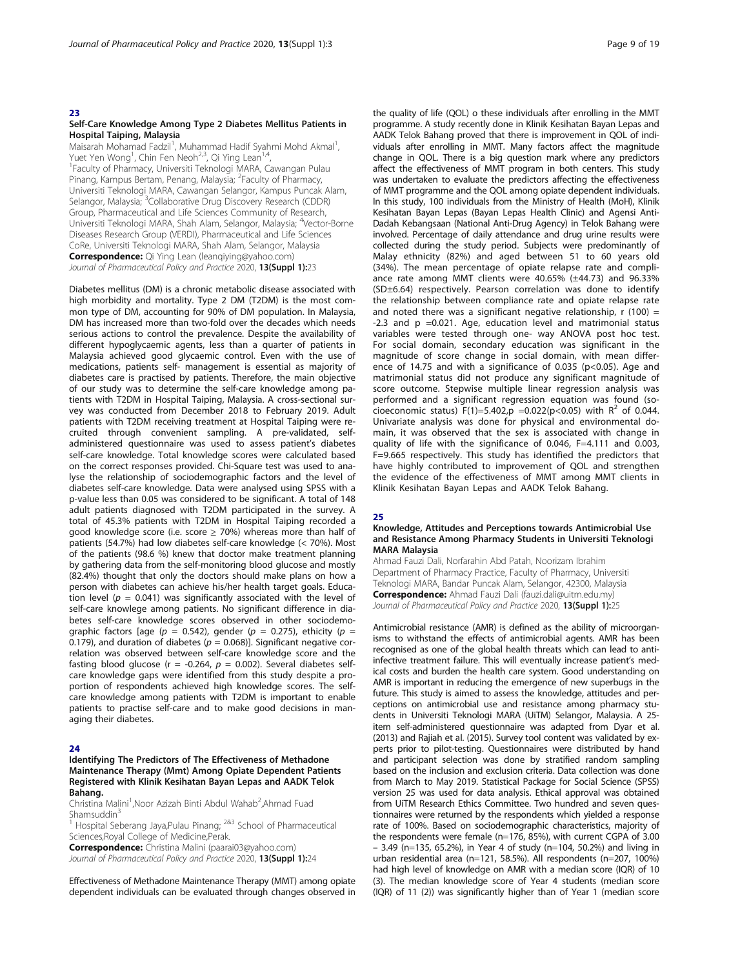#### 23

#### Self-Care Knowledge Among Type 2 Diabetes Mellitus Patients in Hospital Taiping, Malaysia

Maisarah Mohamad Fadzil<sup>1</sup>, Muhammad Hadif Syahmi Mohd Akmal<sup>1</sup> , Yuet Yen Wong<sup>1</sup>, Chin Fen Neoh<sup>2,3</sup>, Qi Ying Lean<sup>1,4</sup>,<br><sup>1</sup>Faculty of Pharmacy, Universiti Teknologi MARA Faculty of Pharmacy, Universiti Teknologi MARA, Cawangan Pulau Pinang, Kampus Bertam, Penang, Malaysia; <sup>2</sup>Faculty of Pharmacy, Universiti Teknologi MARA, Cawangan Selangor, Kampus Puncak Alam, Selangor, Malaysia; <sup>3</sup>Collaborative Drug Discovery Research (CDDR) Group, Pharmaceutical and Life Sciences Community of Research, Universiti Teknologi MARA, Shah Alam, Selangor, Malaysia; <sup>4</sup>Vector-Borne Diseases Research Group (VERDI), Pharmaceutical and Life Sciences CoRe, Universiti Teknologi MARA, Shah Alam, Selangor, Malaysia **Correspondence:** Qi Ying Lean (leanqiying@yahoo.com) Journal of Pharmaceutical Policy and Practice 2020, 13(Suppl 1):23

Diabetes mellitus (DM) is a chronic metabolic disease associated with high morbidity and mortality. Type 2 DM (T2DM) is the most common type of DM, accounting for 90% of DM population. In Malaysia, DM has increased more than two-fold over the decades which needs serious actions to control the prevalence. Despite the availability of different hypoglycaemic agents, less than a quarter of patients in Malaysia achieved good glycaemic control. Even with the use of medications, patients self- management is essential as majority of diabetes care is practised by patients. Therefore, the main objective of our study was to determine the self-care knowledge among patients with T2DM in Hospital Taiping, Malaysia. A cross-sectional survey was conducted from December 2018 to February 2019. Adult patients with T2DM receiving treatment at Hospital Taiping were recruited through convenient sampling. A pre-validated, selfadministered questionnaire was used to assess patient's diabetes self-care knowledge. Total knowledge scores were calculated based on the correct responses provided. Chi-Square test was used to analyse the relationship of sociodemographic factors and the level of diabetes self-care knowledge. Data were analysed using SPSS with a p-value less than 0.05 was considered to be significant. A total of 148 adult patients diagnosed with T2DM participated in the survey. A total of 45.3% patients with T2DM in Hospital Taiping recorded a good knowledge score (i.e. score  $\geq$  70%) whereas more than half of patients (54.7%) had low diabetes self-care knowledge (< 70%). Most of the patients (98.6 %) knew that doctor make treatment planning by gathering data from the self-monitoring blood glucose and mostly (82.4%) thought that only the doctors should make plans on how a person with diabetes can achieve his/her health target goals. Education level ( $p = 0.041$ ) was significantly associated with the level of self-care knowlege among patients. No significant difference in diabetes self-care knowledge scores observed in other sociodemographic factors [age ( $p = 0.542$ ), gender ( $p = 0.275$ ), ethicity ( $p = 0.275$ ) 0.179), and duration of diabetes ( $p = 0.068$ )]. Significant negative correlation was observed between self-care knowledge score and the fasting blood glucose (r = -0.264,  $p = 0.002$ ). Several diabetes selfcare knowledge gaps were identified from this study despite a proportion of respondents achieved high knowledge scores. The selfcare knowledge among patients with T2DM is important to enable patients to practise self-care and to make good decisions in managing their diabetes.

#### 24

#### Identifying The Predictors of The Effectiveness of Methadone Maintenance Therapy (Mmt) Among Opiate Dependent Patients Registered with Klinik Kesihatan Bayan Lepas and AADK Telok Bahang.

Christina Malini<sup>1</sup>, Noor Azizah Binti Abdul Wahab<sup>2</sup>, Ahmad Fuad Shamsuddin<sup>3</sup>

Hospital Seberang Jaya,Pulau Pinang; <sup>2&3</sup> School of Pharmaceutical Sciences,Royal College of Medicine,Perak.

Correspondence: Christina Malini (paarai03@yahoo.com)

Journal of Pharmaceutical Policy and Practice 2020, 13(Suppl 1):24

Effectiveness of Methadone Maintenance Therapy (MMT) among opiate dependent individuals can be evaluated through changes observed in the quality of life (QOL) o these individuals after enrolling in the MMT programme. A study recently done in Klinik Kesihatan Bayan Lepas and AADK Telok Bahang proved that there is improvement in QOL of individuals after enrolling in MMT. Many factors affect the magnitude change in QOL. There is a big question mark where any predictors affect the effectiveness of MMT program in both centers. This study was undertaken to evaluate the predictors affecting the effectiveness of MMT programme and the QOL among opiate dependent individuals. In this study, 100 individuals from the Ministry of Health (MoH), Klinik Kesihatan Bayan Lepas (Bayan Lepas Health Clinic) and Agensi Anti-Dadah Kebangsaan (National Anti-Drug Agency) in Telok Bahang were involved. Percentage of daily attendance and drug urine results were collected during the study period. Subjects were predominantly of Malay ethnicity (82%) and aged between 51 to 60 years old (34%). The mean percentage of opiate relapse rate and compliance rate among MMT clients were 40.65% (±44.73) and 96.33% (SD±6.64) respectively. Pearson correlation was done to identify the relationship between compliance rate and opiate relapse rate and noted there was a significant negative relationship,  $r(100) =$ -2.3 and p =0.021. Age, education level and matrimonial status variables were tested through one- way ANOVA post hoc test. For social domain, secondary education was significant in the magnitude of score change in social domain, with mean difference of 14.75 and with a significance of 0.035 (p<0.05). Age and matrimonial status did not produce any significant magnitude of score outcome. Stepwise multiple linear regression analysis was performed and a significant regression equation was found (socioeconomic status) F(1)=5.402,p =0.022(p<0.05) with  $R^2$  of 0.044. Univariate analysis was done for physical and environmental domain, it was observed that the sex is associated with change in quality of life with the significance of 0.046, F=4.111 and 0.003, F=9.665 respectively. This study has identified the predictors that have highly contributed to improvement of QOL and strengthen the evidence of the effectiveness of MMT among MMT clients in Klinik Kesihatan Bayan Lepas and AADK Telok Bahang.

#### 25

#### Knowledge, Attitudes and Perceptions towards Antimicrobial Use and Resistance Among Pharmacy Students in Universiti Teknologi MARA Malaysia

Ahmad Fauzi Dali, Norfarahin Abd Patah, Noorizam Ibrahim Department of Pharmacy Practice, Faculty of Pharmacy, Universiti Teknologi MARA, Bandar Puncak Alam, Selangor, 42300, Malaysia Correspondence: Ahmad Fauzi Dali (fauzi.dali@uitm.edu.my) Journal of Pharmaceutical Policy and Practice 2020, 13(Suppl 1):25

Antimicrobial resistance (AMR) is defined as the ability of microorganisms to withstand the effects of antimicrobial agents. AMR has been recognised as one of the global health threats which can lead to antiinfective treatment failure. This will eventually increase patient's medical costs and burden the health care system. Good understanding on AMR is important in reducing the emergence of new superbugs in the future. This study is aimed to assess the knowledge, attitudes and perceptions on antimicrobial use and resistance among pharmacy students in Universiti Teknologi MARA (UiTM) Selangor, Malaysia. A 25 item self-administered questionnaire was adapted from Dyar et al. (2013) and Rajiah et al. (2015). Survey tool content was validated by experts prior to pilot-testing. Questionnaires were distributed by hand and participant selection was done by stratified random sampling based on the inclusion and exclusion criteria. Data collection was done from March to May 2019. Statistical Package for Social Science (SPSS) version 25 was used for data analysis. Ethical approval was obtained from UiTM Research Ethics Committee. Two hundred and seven questionnaires were returned by the respondents which yielded a response rate of 100%. Based on sociodemographic characteristics, majority of the respondents were female (n=176, 85%), with current CGPA of 3.00 – 3.49 (n=135, 65.2%), in Year 4 of study (n=104, 50.2%) and living in urban residential area (n=121, 58.5%). All respondents (n=207, 100%) had high level of knowledge on AMR with a median score (IQR) of 10 (3). The median knowledge score of Year 4 students (median score (IQR) of 11 (2)) was significantly higher than of Year 1 (median score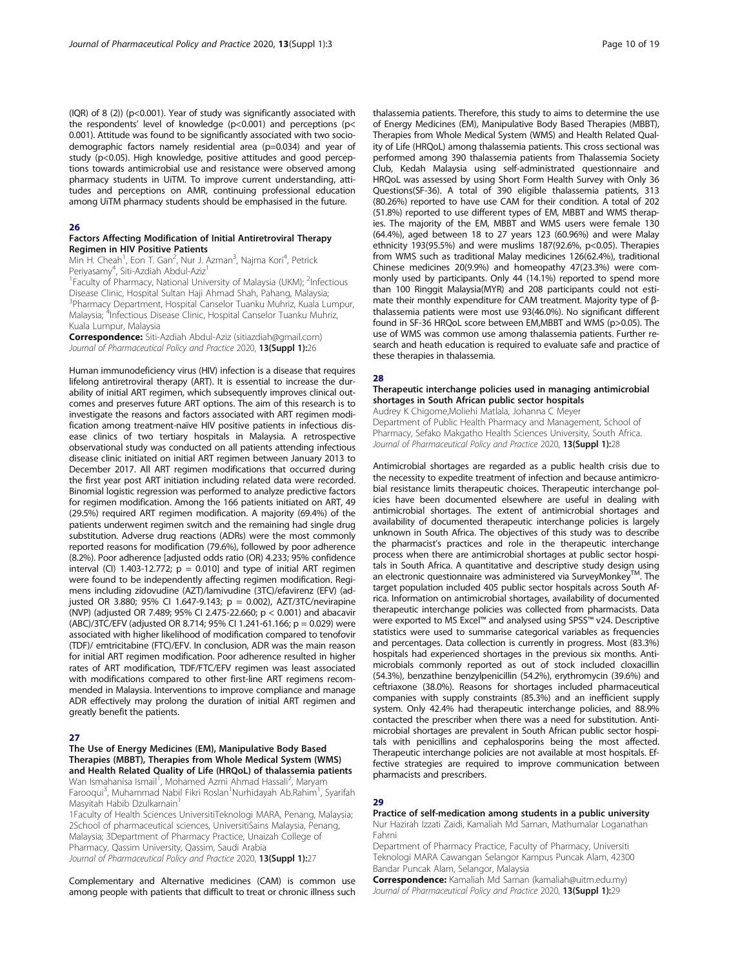(IQR) of 8 (2)) (p<0.001). Year of study was significantly associated with the respondents' level of knowledge ( $p$ <0.001) and perceptions ( $p$ < 0.001). Attitude was found to be significantly associated with two sociodemographic factors namely residential area (p=0.034) and year of study (p<0.05). High knowledge, positive attitudes and good perceptions towards antimicrobial use and resistance were observed among pharmacy students in UiTM. To improve current understanding, attitudes and perceptions on AMR, continuing professional education among UiTM pharmacy students should be emphasised in the future.

#### 26

#### Factors Affecting Modification of Initial Antiretroviral Therapy Regimen in HIV Positive Patients

Min H. Cheah<sup>1</sup>, Eon T. Gan<sup>2</sup>, Nur J. Azman<sup>3</sup>, Najma Kori<sup>4</sup>, Petrick Periyasamy<sup>4</sup>, Siti-Azdiah Abdul-Aziz<sup>1</sup>

<sup>1</sup> Faculty of Pharmacy, National University of Malaysia (UKM); <sup>2</sup>Infectious Disease Clinic, Hospital Sultan Haji Ahmad Shah, Pahang, Malaysia; 3 Pharmacy Department, Hospital Canselor Tuanku Muhriz, Kuala Lumpur, Malaysia; <sup>4</sup>Infectious Disease Clinic, Hospital Canselor Tuanku Muhriz, Kuala Lumpur, Malaysia

Correspondence: Siti-Azdiah Abdul-Aziz (sitiazdiah@gmail.com) Journal of Pharmaceutical Policy and Practice 2020, 13(Suppl 1):26

Human immunodeficiency virus (HIV) infection is a disease that requires lifelong antiretroviral therapy (ART). It is essential to increase the durability of initial ART regimen, which subsequently improves clinical outcomes and preserves future ART options. The aim of this research is to investigate the reasons and factors associated with ART regimen modification among treatment-naïve HIV positive patients in infectious disease clinics of two tertiary hospitals in Malaysia. A retrospective observational study was conducted on all patients attending infectious disease clinic initiated on initial ART regimen between January 2013 to December 2017. All ART regimen modifications that occurred during the first year post ART initiation including related data were recorded. Binomial logistic regression was performed to analyze predictive factors for regimen modification. Among the 166 patients initiated on ART, 49 (29.5%) required ART regimen modification. A majority (69.4%) of the patients underwent regimen switch and the remaining had single drug substitution. Adverse drug reactions (ADRs) were the most commonly reported reasons for modification (79.6%), followed by poor adherence (8.2%). Poor adherence [adjusted odds ratio (OR) 4.233; 95% confidence interval (CI) 1.403-12.772;  $p = 0.010$ ] and type of initial ART regimen were found to be independently affecting regimen modification. Regimens including zidovudine (AZT)/lamivudine (3TC)/efavirenz (EFV) (adjusted OR 3.880; 95% CI 1.647-9.143; p = 0.002), AZT/3TC/nevirapine (NVP) (adjusted OR 7.489; 95% CI 2.475-22.660; p < 0.001) and abacavir (ABC)/3TC/EFV (adjusted OR 8.714; 95% CI 1.241-61.166; p = 0.029) were associated with higher likelihood of modification compared to tenofovir (TDF)/ emtricitabine (FTC)/EFV. In conclusion, ADR was the main reason for initial ART regimen modification. Poor adherence resulted in higher rates of ART modification, TDF/FTC/EFV regimen was least associated with modifications compared to other first-line ART regimens recommended in Malaysia. Interventions to improve compliance and manage ADR effectively may prolong the duration of initial ART regimen and greatly benefit the patients.

#### 27

#### The Use of Energy Medicines (EM), Manipulative Body Based Therapies (MBBT), Therapies from Whole Medical System (WMS) and Health Related Quality of Life (HRQoL) of thalassemia patients

Wan Ismahanisa Ismail<sup>1</sup>, Mohamed Azmi Ahmad Hassali<sup>2</sup>, Maryam Farooqui<sup>3</sup>, Muhammad Nabil Fikri Roslan<sup>1</sup>Nurhidayah Ab.Rahim<sup>1</sup>, Syarifah Masyitah Habib Dzulkarnain1

1Faculty of Health Sciences UniversitiTeknologi MARA, Penang, Malaysia; 2School of pharmaceutical sciences, UniversitiSains Malaysia, Penang, Malaysia; 3Department of Pharmacy Practice, Unaizah College of Pharmacy, Qassim University, Qassim, Saudi Arabia Journal of Pharmaceutical Policy and Practice 2020, 13(Suppl 1):27

Complementary and Alternative medicines (CAM) is common use among people with patients that difficult to treat or chronic illness such thalassemia patients. Therefore, this study to aims to determine the use of Energy Medicines (EM), Manipulative Body Based Therapies (MBBT), Therapies from Whole Medical System (WMS) and Health Related Quality of Life (HRQoL) among thalassemia patients. This cross sectional was performed among 390 thalassemia patients from Thalassemia Society Club, Kedah Malaysia using self-administrated questionnaire and HRQoL was assessed by using Short Form Health Survey with Only 36 Questions(SF-36). A total of 390 eligible thalassemia patients, 313 (80.26%) reported to have use CAM for their condition. A total of 202 (51.8%) reported to use different types of EM, MBBT and WMS therapies. The majority of the EM, MBBT and WMS users were female 130 (64.4%), aged between 18 to 27 years 123 (60.96%) and were Malay ethnicity 193(95.5%) and were muslims 187(92.6%,  $p<0.05$ ). Therapies from WMS such as traditional Malay medicines 126(62.4%), traditional Chinese medicines 20(9.9%) and homeopathy 47(23.3%) were commonly used by participants. Only 44 (14.1%) reported to spend more than 100 Ringgit Malaysia(MYR) and 208 participants could not estimate their monthly expenditure for CAM treatment. Majority type of βthalassemia patients were most use 93(46.0%). No significant different found in SF-36 HRQoL score between EM,MBBT and WMS (p>0.05). The use of WMS was common use among thalassemia patients. Further research and heath education is required to evaluate safe and practice of these therapies in thalassemia.

#### $28$

#### Therapeutic interchange policies used in managing antimicrobial shortages in South African public sector hospitals

Audrey K Chigome,Moliehi Matlala, Johanna C Meyer Department of Public Health Pharmacy and Management, School of Pharmacy, Sefako Makgatho Health Sciences University, South Africa. Journal of Pharmaceutical Policy and Practice 2020, 13(Suppl 1):28

Antimicrobial shortages are regarded as a public health crisis due to the necessity to expedite treatment of infection and because antimicrobial resistance limits therapeutic choices. Therapeutic interchange policies have been documented elsewhere are useful in dealing with antimicrobial shortages. The extent of antimicrobial shortages and availability of documented therapeutic interchange policies is largely unknown in South Africa. The objectives of this study was to describe the pharmacist's practices and role in the therapeutic interchange process when there are antimicrobial shortages at public sector hospitals in South Africa. A quantitative and descriptive study design using an electronic questionnaire was administered via SurveyMonkey $^{TM}$ . The target population included 405 public sector hospitals across South Africa. Information on antimicrobial shortages, availability of documented therapeutic interchange policies was collected from pharmacists. Data were exported to MS Excel™ and analysed using SPSS™ v24. Descriptive statistics were used to summarise categorical variables as frequencies and percentages. Data collection is currently in progress. Most (83.3%) hospitals had experienced shortages in the previous six months. Antimicrobials commonly reported as out of stock included cloxacillin (54.3%), benzathine benzylpenicillin (54.2%), erythromycin (39.6%) and ceftriaxone (38.0%). Reasons for shortages included pharmaceutical companies with supply constraints (85.3%) and an inefficient supply system. Only 42.4% had therapeutic interchange policies, and 88.9% contacted the prescriber when there was a need for substitution. Antimicrobial shortages are prevalent in South African public sector hospitals with penicillins and cephalosporins being the most affected. Therapeutic interchange policies are not available at most hospitals. Effective strategies are required to improve communication between pharmacists and prescribers.

#### 29

Practice of self-medication among students in a public university Nur Hazirah Izzati Zaidi, Kamaliah Md Saman, Mathumalar Loganathan Fahrni

Department of Pharmacy Practice, Faculty of Pharmacy, Universiti Teknologi MARA Cawangan Selangor Kampus Puncak Alam, 42300 Bandar Puncak Alam, Selangor, Malaysia

Correspondence: Kamaliah Md Saman (kamaliah@uitm.edu.my) Journal of Pharmaceutical Policy and Practice 2020, 13(Suppl 1):29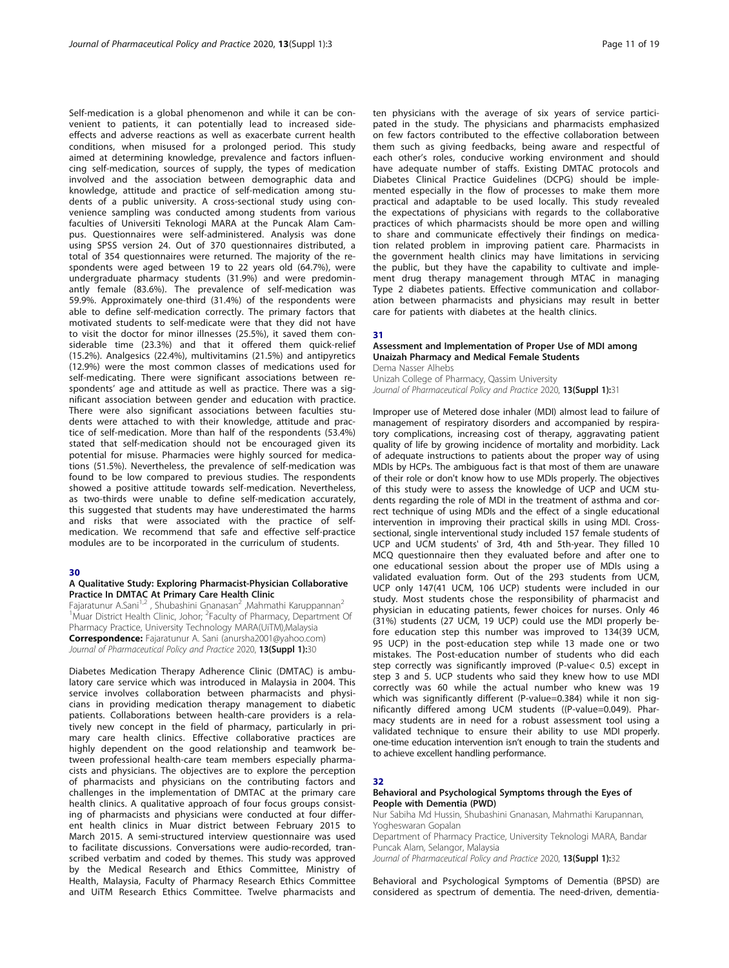Self-medication is a global phenomenon and while it can be convenient to patients, it can potentially lead to increased sideeffects and adverse reactions as well as exacerbate current health conditions, when misused for a prolonged period. This study aimed at determining knowledge, prevalence and factors influencing self-medication, sources of supply, the types of medication involved and the association between demographic data and knowledge, attitude and practice of self-medication among students of a public university. A cross-sectional study using convenience sampling was conducted among students from various faculties of Universiti Teknologi MARA at the Puncak Alam Campus. Questionnaires were self-administered. Analysis was done using SPSS version 24. Out of 370 questionnaires distributed, a total of 354 questionnaires were returned. The majority of the respondents were aged between 19 to 22 years old (64.7%), were undergraduate pharmacy students (31.9%) and were predominantly female (83.6%). The prevalence of self-medication was 59.9%. Approximately one-third (31.4%) of the respondents were able to define self-medication correctly. The primary factors that motivated students to self-medicate were that they did not have to visit the doctor for minor illnesses (25.5%), it saved them considerable time (23.3%) and that it offered them quick-relief (15.2%). Analgesics (22.4%), multivitamins (21.5%) and antipyretics (12.9%) were the most common classes of medications used for self-medicating. There were significant associations between respondents' age and attitude as well as practice. There was a significant association between gender and education with practice. There were also significant associations between faculties students were attached to with their knowledge, attitude and practice of self-medication. More than half of the respondents (53.4%) stated that self-medication should not be encouraged given its potential for misuse. Pharmacies were highly sourced for medications (51.5%). Nevertheless, the prevalence of self-medication was found to be low compared to previous studies. The respondents showed a positive attitude towards self-medication. Nevertheless, as two-thirds were unable to define self-medication accurately, this suggested that students may have underestimated the harms and risks that were associated with the practice of selfmedication. We recommend that safe and effective self-practice modules are to be incorporated in the curriculum of students.

#### 30

#### A Qualitative Study: Exploring Pharmacist-Physician Collaborative Practice In DMTAC At Primary Care Health Clinic

Fajaratunur A.Sani<sup>1,2</sup>, Shubashini Gnanasan<sup>2</sup>, Mahmathi Karuppannan<sup>2</sup> <sup>1</sup>Muar District Health Clinic, Johor; <sup>2</sup>Faculty of Pharmacy, Department Of Pharmacy Practice, University Technology MARA(UiTM), Malaysia Correspondence: Fajaratunur A. Sani (anursha2001@yahoo.com) Journal of Pharmaceutical Policy and Practice 2020, 13(Suppl 1):30

Diabetes Medication Therapy Adherence Clinic (DMTAC) is ambulatory care service which was introduced in Malaysia in 2004. This service involves collaboration between pharmacists and physicians in providing medication therapy management to diabetic patients. Collaborations between health-care providers is a relatively new concept in the field of pharmacy, particularly in primary care health clinics. Effective collaborative practices are highly dependent on the good relationship and teamwork between professional health-care team members especially pharmacists and physicians. The objectives are to explore the perception of pharmacists and physicians on the contributing factors and challenges in the implementation of DMTAC at the primary care health clinics. A qualitative approach of four focus groups consisting of pharmacists and physicians were conducted at four different health clinics in Muar district between February 2015 to March 2015. A semi-structured interview questionnaire was used to facilitate discussions. Conversations were audio-recorded, transcribed verbatim and coded by themes. This study was approved by the Medical Research and Ethics Committee, Ministry of Health, Malaysia, Faculty of Pharmacy Research Ethics Committee and UiTM Research Ethics Committee. Twelve pharmacists and

ten physicians with the average of six years of service participated in the study. The physicians and pharmacists emphasized on few factors contributed to the effective collaboration between them such as giving feedbacks, being aware and respectful of each other's roles, conducive working environment and should have adequate number of staffs. Existing DMTAC protocols and Diabetes Clinical Practice Guidelines (DCPG) should be implemented especially in the flow of processes to make them more practical and adaptable to be used locally. This study revealed the expectations of physicians with regards to the collaborative practices of which pharmacists should be more open and willing to share and communicate effectively their findings on medication related problem in improving patient care. Pharmacists in the government health clinics may have limitations in servicing the public, but they have the capability to cultivate and implement drug therapy management through MTAC in managing Type 2 diabetes patients. Effective communication and collaboration between pharmacists and physicians may result in better care for patients with diabetes at the health clinics.

#### 31

#### Assessment and Implementation of Proper Use of MDI among Unaizah Pharmacy and Medical Female Students

Dema Nasser Alhebs Unizah College of Pharmacy, Qassim University Journal of Pharmaceutical Policy and Practice 2020, 13(Suppl 1):31

Improper use of Metered dose inhaler (MDI) almost lead to failure of management of respiratory disorders and accompanied by respiratory complications, increasing cost of therapy, aggravating patient quality of life by growing incidence of mortality and morbidity. Lack of adequate instructions to patients about the proper way of using MDIs by HCPs. The ambiguous fact is that most of them are unaware of their role or don't know how to use MDIs properly. The objectives of this study were to assess the knowledge of UCP and UCM students regarding the role of MDI in the treatment of asthma and correct technique of using MDIs and the effect of a single educational intervention in improving their practical skills in using MDI. Crosssectional, single interventional study included 157 female students of UCP and UCM students' of 3rd, 4th and 5th-year. They filled 10 MCQ questionnaire then they evaluated before and after one to one educational session about the proper use of MDIs using a validated evaluation form. Out of the 293 students from UCM, UCP only 147(41 UCM, 106 UCP) students were included in our study. Most students chose the responsibility of pharmacist and physician in educating patients, fewer choices for nurses. Only 46 (31%) students (27 UCM, 19 UCP) could use the MDI properly before education step this number was improved to 134(39 UCM, 95 UCP) in the post-education step while 13 made one or two mistakes. The Post-education number of students who did each step correctly was significantly improved (P-value< 0.5) except in step 3 and 5. UCP students who said they knew how to use MDI correctly was 60 while the actual number who knew was 19 which was significantly different (P-value=0.384) while it non significantly differed among UCM students ((P-value=0.049). Pharmacy students are in need for a robust assessment tool using a validated technique to ensure their ability to use MDI properly. one-time education intervention isn't enough to train the students and to achieve excellent handling performance.

#### 32

#### Behavioral and Psychological Symptoms through the Eyes of People with Dementia (PWD)

Nur Sabiha Md Hussin, Shubashini Gnanasan, Mahmathi Karupannan, Yogheswaran Gopalan

Department of Pharmacy Practice, University Teknologi MARA, Bandar Puncak Alam, Selangor, Malaysia

Journal of Pharmaceutical Policy and Practice 2020, 13(Suppl 1):32

Behavioral and Psychological Symptoms of Dementia (BPSD) are considered as spectrum of dementia. The need-driven, dementia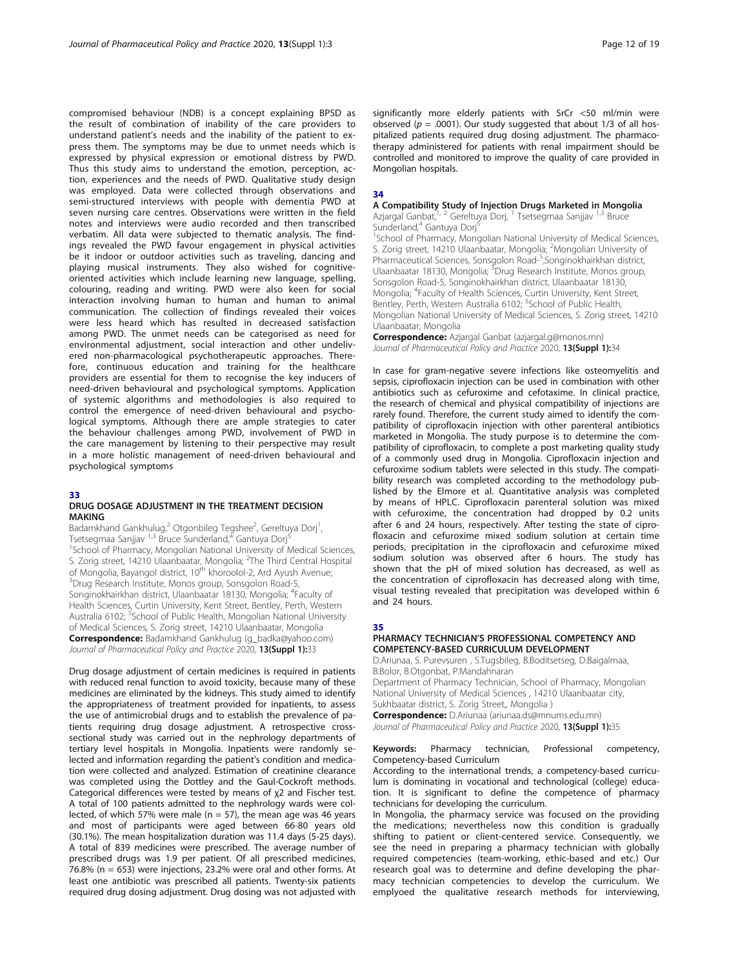compromised behaviour (NDB) is a concept explaining BPSD as the result of combination of inability of the care providers to understand patient's needs and the inability of the patient to express them. The symptoms may be due to unmet needs which is expressed by physical expression or emotional distress by PWD. Thus this study aims to understand the emotion, perception, action, experiences and the needs of PWD. Qualitative study design was employed. Data were collected through observations and semi-structured interviews with people with dementia PWD at seven nursing care centres. Observations were written in the field notes and interviews were audio recorded and then transcribed verbatim. All data were subjected to thematic analysis. The findings revealed the PWD favour engagement in physical activities be it indoor or outdoor activities such as traveling, dancing and playing musical instruments. They also wished for cognitiveoriented activities which include learning new language, spelling, colouring, reading and writing. PWD were also keen for social interaction involving human to human and human to animal communication. The collection of findings revealed their voices were less heard which has resulted in decreased satisfaction among PWD. The unmet needs can be categorised as need for environmental adjustment, social interaction and other undelivered non-pharmacological psychotherapeutic approaches. Therefore, continuous education and training for the healthcare providers are essential for them to recognise the key inducers of need-driven behavioural and psychological symptoms. Application of systemic algorithms and methodologies is also required to control the emergence of need-driven behavioural and psychological symptoms. Although there are ample strategies to cater the behaviour challenges among PWD, involvement of PWD in the care management by listening to their perspective may result in a more holistic management of need-driven behavioural and psychological symptoms

#### 33

#### DRUG DOSAGE ADJUSTMENT IN THE TREATMENT DECISION MAKING

Badamkhand Gankhulug,<sup>2</sup> Otgonbileg Tegshee<sup>2</sup>, Gereltuya Dorj<sup>1</sup> , Tsetsegmaa Sanjjav <sup>1,3</sup> Bruce Sunderland,<sup>4</sup> Gantuya Dorj<sup>5</sup> <sup>1</sup>School of Pharmacy, Mongolian National University of Medical Sciences, S. Zorig street, 14210 Ulaanbaatar, Mongolia; <sup>2</sup>The Third Central Hospital of Mongolia, Bayangol district, 10<sup>th</sup> khoroolol-2, Ard Ayush Avenue; <sup>3</sup>Drug Research Institute, Monos group, Sonsgolon Road-5, Songinokhairkhan district, Ulaanbaatar 18130, Mongolia; <sup>4</sup>Faculty of Health Sciences, Curtin University, Kent Street, Bentley, Perth, Western Australia 6102; <sup>5</sup>School of Public Health, Mongolian National University of Medical Sciences, S. Zorig street, 14210 Ulaanbaatar, Mongolia Correspondence: Badamkhand Gankhulug (g\_badka@yahoo.com) Journal of Pharmaceutical Policy and Practice 2020, 13(Suppl 1):33

Drug dosage adjustment of certain medicines is required in patients with reduced renal function to avoid toxicity, because many of these medicines are eliminated by the kidneys. This study aimed to identify the appropriateness of treatment provided for inpatients, to assess the use of antimicrobial drugs and to establish the prevalence of patients requiring drug dosage adjustment. A retrospective crosssectional study was carried out in the nephrology departments of tertiary level hospitals in Mongolia. Inpatients were randomly selected and information regarding the patient's condition and medication were collected and analyzed. Estimation of creatinine clearance was completed using the Dottley and the Gaul-Cockroft methods. Categorical differences were tested by means of χ2 and Fischer test. A total of 100 patients admitted to the nephrology wards were collected, of which 57% were male ( $n = 57$ ), the mean age was 46 years and most of participants were aged between 66-80 years old (30.1%). The mean hospitalization duration was 11.4 days (5-25 days). A total of 839 medicines were prescribed. The average number of prescribed drugs was 1.9 per patient. Of all prescribed medicines, 76.8% (n = 653) were injections, 23.2% were oral and other forms. At least one antibiotic was prescribed all patients. Twenty-six patients required drug dosing adjustment. Drug dosing was not adjusted with

significantly more elderly patients with SrCr <50 ml/min were observed ( $p = .0001$ ). Our study suggested that about 1/3 of all hospitalized patients required drug dosing adjustment. The pharmacotherapy administered for patients with renal impairment should be controlled and monitored to improve the quality of care provided in Mongolian hospitals.

#### 34

#### A Compatibility Study of Injection Drugs Marketed in Mongolia Azjargal Ganbat,<sup>1, 2</sup> Gereltuya Dorj, <sup>1</sup> Tsetsegmaa Sanjjav <sup>1,3</sup> Bruce

Sunderland,<sup>4</sup> Gantuya Dorj<sup>5</sup>

<sup>1</sup>School of Pharmacy, Mongolian National University of Medical Sciences, S. Zorig street, 14210 Ulaanbaatar, Mongolia; <sup>2</sup>Mongolian University of Pharmaceutical Sciences, Sonsgolon Road-<sup>5</sup>, Songinokhairkhan district Ulaanbaatar 18130, Mongolia; <sup>3</sup>Drug Research Institute, Monos group Sonsgolon Road-5, Songinokhairkhan district, Ulaanbaatar 18130, Mongolia; <sup>4</sup> Faculty of Health Sciences, Curtin University, Kent Street, Bentley, Perth, Western Australia 6102; <sup>5</sup>School of Public Health, Mongolian National University of Medical Sciences, S. Zorig street, 14210 Ulaanbaatar, Mongolia

Correspondence: Azjargal Ganbat (azjargal.g@monos.mn) Journal of Pharmaceutical Policy and Practice 2020, 13(Suppl 1):34

In case for gram-negative severe infections like osteomyelitis and sepsis, ciprofloxacin injection can be used in combination with other antibiotics such as cefuroxime and cefotaxime. In clinical practice, the research of chemical and physical compatibility of injections are rarely found. Therefore, the current study aimed to identify the compatibility of ciprofloxacin injection with other parenteral antibiotics marketed in Mongolia. The study purpose is to determine the compatibility of ciprofloxacin, to complete a post marketing quality study of a commonly used drug in Mongolia. Ciprofloxacin injection and cefuroxime sodium tablets were selected in this study. The compatibility research was completed according to the methodology published by the Elmore et al. Quantitative analysis was completed by means of HPLC. Ciprofloxacin parenteral solution was mixed with cefuroxime, the concentration had dropped by 0.2 units after 6 and 24 hours, respectively. After testing the state of ciprofloxacin and cefuroxime mixed sodium solution at certain time periods, precipitation in the ciprofloxacin and cefuroxime mixed sodium solution was observed after 6 hours. The study has shown that the pH of mixed solution has decreased, as well as the concentration of ciprofloxacin has decreased along with time, visual testing revealed that precipitation was developed within 6 and 24 hours.

#### 35

#### PHARMACY TECHNICIAN'S PROFESSIONAL COMPETENCY AND COMPETENCY-BASED CURRICULUM DEVELOPMENT

D.Ariunaa, S. Purevsuren , S.Tugsbileg, B.Boditsetseg, D.Baigalmaa, B.Bolor, B.Otgonbat, P.Mandahnaran

Department of Pharmacy Technician, School of Pharmacy, Mongolian National University of Medical Sciences , 14210 Ulaanbaatar city, Sukhbaatar district, S. Zorig Street,, Mongolia )

Correspondence: D.Ariunaa (ariunaa.ds@mnums.edu.mn)

Journal of Pharmaceutical Policy and Practice 2020, 13(Suppl 1):35

#### Keywords: Pharmacy technician, Professional competency, Competency-based Curriculum

According to the international trends, а competency-based curriculum is dominating in vocational and technological (college) education. It is significant to define the competence of pharmacy technicians for developing the curriculum.

In Mongolia, the pharmacy service was focused on the providing the medications; nevertheless now this condition is gradually shifting to patient or client-centered service. Consequently, we see the need in preparing a pharmacy technician with globally required competencies (team-working, ethic-based and etc.) Our research goal was to determine and define developing the pharmacy technician competencies to develop the curriculum. We emplyoed the qualitative research methods for interviewing,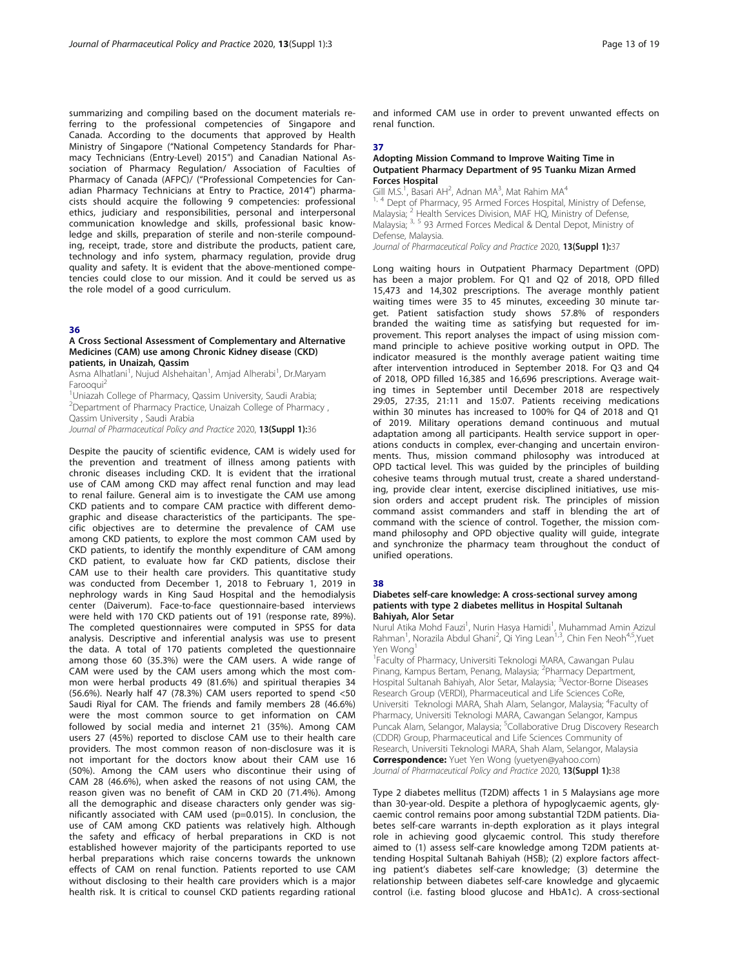summarizing and compiling based on the document materials referring to the professional competencies of Singapore and Canada. According to the documents that approved by Health Ministry of Singapore ("National Competency Standards for Pharmacy Technicians (Entry-Level) 2015") and Canadian National Association of Pharmacy Regulation/ Association of Faculties of Pharmacy of Canada (AFPC)/ ("Professional Competencies for Canadian Pharmacy Technicians at Entry to Practice, 2014") pharmacists should acquire the following 9 competencies: professional ethics, judiciary and responsibilities, personal and interpersonal communication knowledge and skills, professional basic knowledge and skills, preparation of sterile and non-sterile compounding, receipt, trade, store and distribute the products, patient care, technology and info system, pharmacy regulation, provide drug quality and safety. It is evident that the above-mentioned competencies could close to our mission. And it could be served us as the role model of a good curriculum.

#### 36

#### A Cross Sectional Assessment of Complementary and Alternative Medicines (CAM) use among Chronic Kidney disease (CKD) patients, in Unaizah, Qassim

Asma Alhatlani<sup>1</sup>, Nujud Alshehaitan<sup>1</sup>, Amjad Alherabi<sup>1</sup>, Dr.Maryam Farooqui2

<sup>1</sup>Uniazah College of Pharmacy, Qassim University, Saudi Arabia; 2 Department of Pharmacy Practice, Unaizah College of Pharmacy , Qassim University , Saudi Arabia

Journal of Pharmaceutical Policy and Practice 2020, 13(Suppl 1):36

Despite the paucity of scientific evidence, CAM is widely used for the prevention and treatment of illness among patients with chronic diseases including CKD. It is evident that the irrational use of CAM among CKD may affect renal function and may lead to renal failure. General aim is to investigate the CAM use among CKD patients and to compare CAM practice with different demographic and disease characteristics of the participants. The specific objectives are to determine the prevalence of CAM use among CKD patients, to explore the most common CAM used by CKD patients, to identify the monthly expenditure of CAM among CKD patient, to evaluate how far CKD patients, disclose their CAM use to their health care providers. This quantitative study was conducted from December 1, 2018 to February 1, 2019 in nephrology wards in King Saud Hospital and the hemodialysis center (Daiverum). Face-to-face questionnaire-based interviews were held with 170 CKD patients out of 191 (response rate, 89%). The completed questionnaires were computed in SPSS for data analysis. Descriptive and inferential analysis was use to present the data. A total of 170 patients completed the questionnaire among those 60 (35.3%) were the CAM users. A wide range of CAM were used by the CAM users among which the most common were herbal products 49 (81.6%) and spiritual therapies 34 (56.6%). Nearly half 47 (78.3%) CAM users reported to spend <50 Saudi Riyal for CAM. The friends and family members 28 (46.6%) were the most common source to get information on CAM followed by social media and internet 21 (35%). Among CAM users 27 (45%) reported to disclose CAM use to their health care providers. The most common reason of non-disclosure was it is not important for the doctors know about their CAM use 16 (50%). Among the CAM users who discontinue their using of CAM 28 (46.6%), when asked the reasons of not using CAM, the reason given was no benefit of CAM in CKD 20 (71.4%). Among all the demographic and disease characters only gender was significantly associated with CAM used (p=0.015). In conclusion, the use of CAM among CKD patients was relatively high. Although the safety and efficacy of herbal preparations in CKD is not established however majority of the participants reported to use herbal preparations which raise concerns towards the unknown effects of CAM on renal function. Patients reported to use CAM without disclosing to their health care providers which is a major health risk. It is critical to counsel CKD patients regarding rational

and informed CAM use in order to prevent unwanted effects on renal function.

#### 37

#### Adopting Mission Command to Improve Waiting Time in Outpatient Pharmacy Department of 95 Tuanku Mizan Armed Forces Hospital

Gill M.S.<sup>1</sup>, Basari AH<sup>2</sup>, Adnan MA<sup>3</sup>, Mat Rahim MA<sup>4</sup>

<sup>1, 4</sup> Dept of Pharmacy, 95 Armed Forces Hospital, Ministry of Defense, Malaysia;  ${}^{2}$  Health Services Division, MAF HQ, Ministry of Defense, Malaysia; <sup>2</sup> Health Services Division, MAF HQ, Ministry of Defense, Malaysia; 3, 5 93 Armed Forces Medical & Dental Depot, Ministry of Defense, Malaysia.

Journal of Pharmaceutical Policy and Practice 2020, 13(Suppl 1):37

Long waiting hours in Outpatient Pharmacy Department (OPD) has been a major problem. For Q1 and Q2 of 2018, OPD filled 15,473 and 14,302 prescriptions. The average monthly patient waiting times were 35 to 45 minutes, exceeding 30 minute target. Patient satisfaction study shows 57.8% of responders branded the waiting time as satisfying but requested for improvement. This report analyses the impact of using mission command principle to achieve positive working output in OPD. The indicator measured is the monthly average patient waiting time after intervention introduced in September 2018. For Q3 and Q4 of 2018, OPD filled 16,385 and 16,696 prescriptions. Average waiting times in September until December 2018 are respectively 29:05, 27:35, 21:11 and 15:07. Patients receiving medications within 30 minutes has increased to 100% for Q4 of 2018 and Q1 of 2019. Military operations demand continuous and mutual adaptation among all participants. Health service support in operations conducts in complex, ever-changing and uncertain environments. Thus, mission command philosophy was introduced at OPD tactical level. This was guided by the principles of building cohesive teams through mutual trust, create a shared understanding, provide clear intent, exercise disciplined initiatives, use mission orders and accept prudent risk. The principles of mission command assist commanders and staff in blending the art of command with the science of control. Together, the mission command philosophy and OPD objective quality will guide, integrate and synchronize the pharmacy team throughout the conduct of unified operations.

#### 38

#### Diabetes self-care knowledge: A cross-sectional survey among patients with type 2 diabetes mellitus in Hospital Sultanah Bahiyah, Alor Setar

Nurul Atika Mohd Fauzi<sup>1</sup>, Nurin Hasya Hamidi<sup>1</sup>, Muhammad Amin Azizul Rahman<sup>1</sup>, Norazila Abdul Ghani<sup>2</sup>, Qi Ying Lean<sup>1,3</sup>, Chin Fen Neoh<sup>4,5</sup>, Yuet Yen Wong

1 Faculty of Pharmacy, Universiti Teknologi MARA, Cawangan Pulau Pinang, Kampus Bertam, Penang, Malaysia; <sup>2</sup>Pharmacy Department, Hospital Sultanah Bahiyah, Alor Setar, Malaysia; <sup>3</sup>Vector-Borne Diseases Research Group (VERDI), Pharmaceutical and Life Sciences CoRe, Universiti Teknologi MARA, Shah Alam, Selangor, Malaysia; <sup>4</sup>Faculty of Pharmacy, Universiti Teknologi MARA, Cawangan Selangor, Kampus Puncak Alam, Selangor, Malaysia; <sup>5</sup>Collaborative Drug Discovery Research (CDDR) Group, Pharmaceutical and Life Sciences Community of Research, Universiti Teknologi MARA, Shah Alam, Selangor, Malaysia Correspondence: Yuet Yen Wong (yuetyen@yahoo.com)

Journal of Pharmaceutical Policy and Practice 2020, 13(Suppl 1):38

Type 2 diabetes mellitus (T2DM) affects 1 in 5 Malaysians age more than 30-year-old. Despite a plethora of hypoglycaemic agents, glycaemic control remains poor among substantial T2DM patients. Diabetes self-care warrants in-depth exploration as it plays integral role in achieving good glycaemic control. This study therefore aimed to (1) assess self-care knowledge among T2DM patients attending Hospital Sultanah Bahiyah (HSB); (2) explore factors affecting patient's diabetes self-care knowledge; (3) determine the relationship between diabetes self-care knowledge and glycaemic control (i.e. fasting blood glucose and HbA1c). A cross-sectional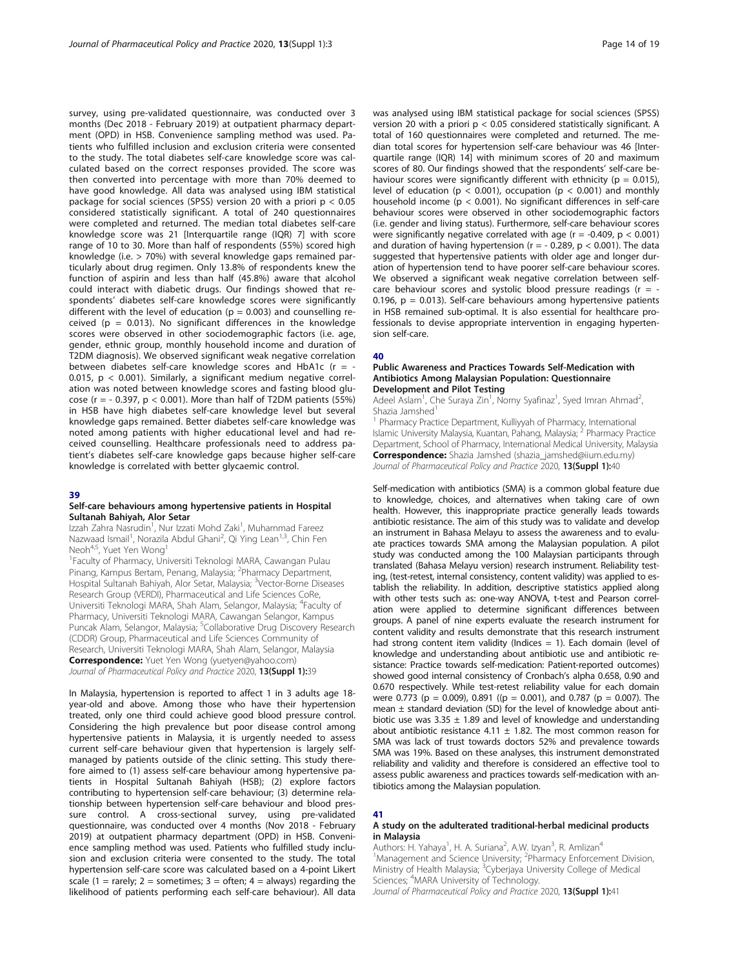survey, using pre-validated questionnaire, was conducted over 3 months (Dec 2018 - February 2019) at outpatient pharmacy department (OPD) in HSB. Convenience sampling method was used. Patients who fulfilled inclusion and exclusion criteria were consented to the study. The total diabetes self-care knowledge score was calculated based on the correct responses provided. The score was then converted into percentage with more than 70% deemed to have good knowledge. All data was analysed using IBM statistical package for social sciences (SPSS) version 20 with a priori  $p < 0.05$ considered statistically significant. A total of 240 questionnaires were completed and returned. The median total diabetes self-care knowledge score was 21 [Interquartile range (IQR) 7] with score range of 10 to 30. More than half of respondents (55%) scored high knowledge (i.e. > 70%) with several knowledge gaps remained particularly about drug regimen. Only 13.8% of respondents knew the function of aspirin and less than half (45.8%) aware that alcohol could interact with diabetic drugs. Our findings showed that respondents' diabetes self-care knowledge scores were significantly different with the level of education ( $p = 0.003$ ) and counselling received ( $p = 0.013$ ). No significant differences in the knowledge scores were observed in other sociodemographic factors (i.e. age, gender, ethnic group, monthly household income and duration of T2DM diagnosis). We observed significant weak negative correlation between diabetes self-care knowledge scores and HbA1c ( $r = -$ 0.015,  $p < 0.001$ ). Similarly, a significant medium negative correlation was noted between knowledge scores and fasting blood glucose ( $r = -0.397$ ,  $p < 0.001$ ). More than half of T2DM patients (55%) in HSB have high diabetes self-care knowledge level but several knowledge gaps remained. Better diabetes self-care knowledge was noted among patients with higher educational level and had received counselling. Healthcare professionals need to address patient's diabetes self-care knowledge gaps because higher self-care knowledge is correlated with better glycaemic control.

#### 39

#### Self-care behaviours among hypertensive patients in Hospital Sultanah Bahiyah, Alor Setar

Izzah Zahra Nasrudin<sup>1</sup>, Nur Izzati Mohd Zaki<sup>1</sup>, Muhammad Fareez Nazwaad Ismail<sup>1</sup>, Norazila Abdul Ghani<sup>2</sup>, Qi Ying Lean<sup>1,3</sup>, Chin Fen Neoh<sup>4,5</sup>, Yuet Yen Wong<sup>1</sup>

1 Faculty of Pharmacy, Universiti Teknologi MARA, Cawangan Pulau Pinang, Kampus Bertam, Penang, Malaysia; <sup>2</sup>Pharmacy Department, Hospital Sultanah Bahiyah, Alor Setar, Malaysia; <sup>3</sup>Vector-Borne Diseases Research Group (VERDI), Pharmaceutical and Life Sciences CoRe, Universiti Teknologi MARA, Shah Alam, Selangor, Malaysia; <sup>4</sup>Faculty of Pharmacy, Universiti Teknologi MARA, Cawangan Selangor, Kampus Puncak Alam, Selangor, Malaysia; <sup>5</sup>Collaborative Drug Discovery Research (CDDR) Group, Pharmaceutical and Life Sciences Community of Research, Universiti Teknologi MARA, Shah Alam, Selangor, Malaysia **Correspondence:** Yuet Yen Wong (yuetyen@yahoo.com) Journal of Pharmaceutical Policy and Practice 2020, 13(Suppl 1):39

In Malaysia, hypertension is reported to affect 1 in 3 adults age 18 year-old and above. Among those who have their hypertension treated, only one third could achieve good blood pressure control. Considering the high prevalence but poor disease control among hypertensive patients in Malaysia, it is urgently needed to assess current self-care behaviour given that hypertension is largely selfmanaged by patients outside of the clinic setting. This study therefore aimed to (1) assess self-care behaviour among hypertensive patients in Hospital Sultanah Bahiyah (HSB); (2) explore factors contributing to hypertension self-care behaviour; (3) determine relationship between hypertension self-care behaviour and blood pressure control. A cross-sectional survey, using pre-validated questionnaire, was conducted over 4 months (Nov 2018 - February 2019) at outpatient pharmacy department (OPD) in HSB. Convenience sampling method was used. Patients who fulfilled study inclusion and exclusion criteria were consented to the study. The total hypertension self-care score was calculated based on a 4-point Likert scale (1 = rarely; 2 = sometimes; 3 = often; 4 = always) regarding the likelihood of patients performing each self-care behaviour). All data

was analysed using IBM statistical package for social sciences (SPSS) version 20 with a priori p < 0.05 considered statistically significant. A total of 160 questionnaires were completed and returned. The median total scores for hypertension self-care behaviour was 46 [Interquartile range (IQR) 14] with minimum scores of 20 and maximum scores of 80. Our findings showed that the respondents' self-care behaviour scores were significantly different with ethnicity ( $p = 0.015$ ), level of education ( $p < 0.001$ ), occupation ( $p < 0.001$ ) and monthly household income (p < 0.001). No significant differences in self-care behaviour scores were observed in other sociodemographic factors (i.e. gender and living status). Furthermore, self-care behaviour scores were significantly negative correlated with age ( $r = -0.409$ ,  $p < 0.001$ ) and duration of having hypertension ( $r = -0.289$ ,  $p < 0.001$ ). The data suggested that hypertensive patients with older age and longer duration of hypertension tend to have poorer self-care behaviour scores. We observed a significant weak negative correlation between selfcare behaviour scores and systolic blood pressure readings ( $r = -$ 0.196,  $p = 0.013$ ). Self-care behaviours among hypertensive patients in HSB remained sub-optimal. It is also essential for healthcare professionals to devise appropriate intervention in engaging hypertension self-care.

#### 40

#### Public Awareness and Practices Towards Self-Medication with Antibiotics Among Malaysian Population: Questionnaire Development and Pilot Testing

Adeel Aslam<sup>1</sup>, Che Suraya Zin<sup>1</sup>, Norny Syafinaz<sup>1</sup>, Syed Imran Ahmad<sup>2</sup> , Shazia Jamshed<sup>1</sup>

1 Pharmacy Practice Department, Kulliyyah of Pharmacy, International Islamic University Malaysia, Kuantan, Pahang, Malaysia; <sup>2</sup> Pharmacy Practice Department, School of Pharmacy, International Medical University, Malaysia Correspondence: Shazia Jamshed (shazia\_jamshed@iium.edu.my) Journal of Pharmaceutical Policy and Practice 2020, 13(Suppl 1):40

Self-medication with antibiotics (SMA) is a common global feature due to knowledge, choices, and alternatives when taking care of own health. However, this inappropriate practice generally leads towards antibiotic resistance. The aim of this study was to validate and develop an instrument in Bahasa Melayu to assess the awareness and to evaluate practices towards SMA among the Malaysian population. A pilot study was conducted among the 100 Malaysian participants through translated (Bahasa Melayu version) research instrument. Reliability testing, (test-retest, internal consistency, content validity) was applied to establish the reliability. In addition, descriptive statistics applied along with other tests such as: one-way ANOVA, t-test and Pearson correlation were applied to determine significant differences between groups. A panel of nine experts evaluate the research instrument for content validity and results demonstrate that this research instrument had strong content item validity (Indices  $= 1$ ). Each domain (level of knowledge and understanding about antibiotic use and antibiotic resistance: Practice towards self-medication: Patient-reported outcomes) showed good internal consistency of Cronbach's alpha 0.658, 0.90 and 0.670 respectively. While test-retest reliability value for each domain were 0.773 (p = 0.009), 0.891 ((p = 0.001), and 0.787 (p = 0.007). The mean  $\pm$  standard deviation (SD) for the level of knowledge about antibiotic use was  $3.35 \pm 1.89$  and level of knowledge and understanding about antibiotic resistance 4.11  $\pm$  1.82. The most common reason for SMA was lack of trust towards doctors 52% and prevalence towards SMA was 19%. Based on these analyses, this instrument demonstrated reliability and validity and therefore is considered an effective tool to assess public awareness and practices towards self-medication with antibiotics among the Malaysian population.

#### 41

#### A study on the adulterated traditional-herbal medicinal products in Malaysia

Authors: H. Yahaya<sup>1</sup>, H. A. Suriana<sup>2</sup>, A.W. Izyan<sup>3</sup>, R. Amlizan<sup>4</sup> <sup>1</sup>Management and Science University; <sup>2</sup>Pharmacy Enforcement Division, Ministry of Health Malaysia; <sup>3</sup>Cyberjaya University College of Medical Sciences; <sup>4</sup>MARA University of Technology.

Journal of Pharmaceutical Policy and Practice 2020, 13(Suppl 1):41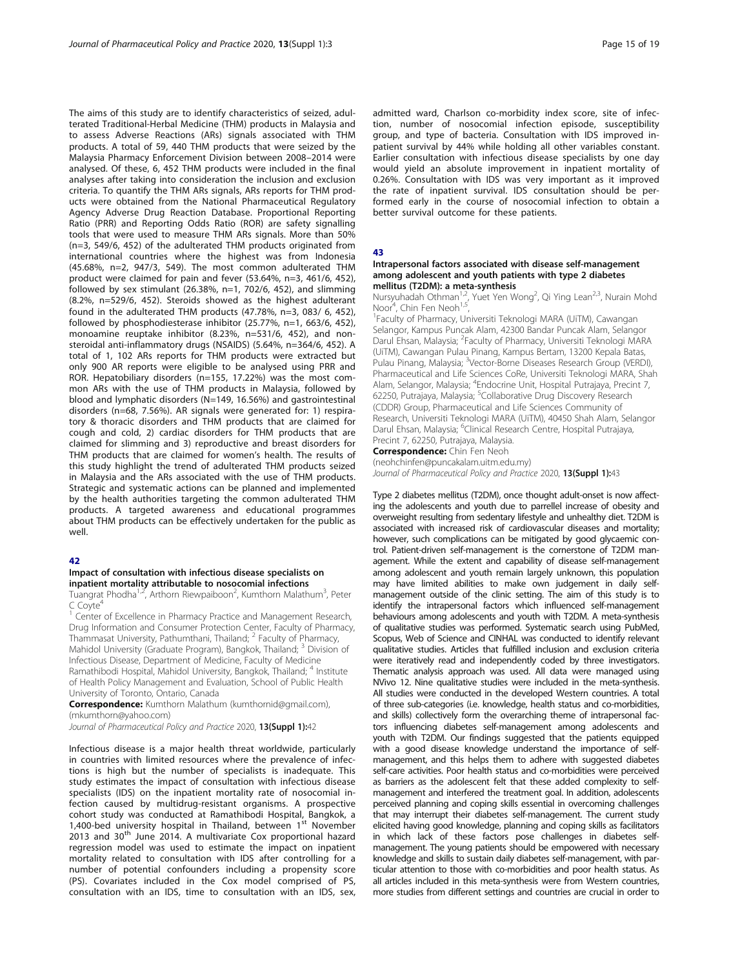The aims of this study are to identify characteristics of seized, adulterated Traditional-Herbal Medicine (THM) products in Malaysia and to assess Adverse Reactions (ARs) signals associated with THM products. A total of 59, 440 THM products that were seized by the Malaysia Pharmacy Enforcement Division between 2008–2014 were analysed. Of these, 6, 452 THM products were included in the final analyses after taking into consideration the inclusion and exclusion criteria. To quantify the THM ARs signals, ARs reports for THM products were obtained from the National Pharmaceutical Regulatory Agency Adverse Drug Reaction Database. Proportional Reporting Ratio (PRR) and Reporting Odds Ratio (ROR) are safety signalling tools that were used to measure THM ARs signals. More than 50% (n=3, 549/6, 452) of the adulterated THM products originated from international countries where the highest was from Indonesia (45.68%, n=2, 947/3, 549). The most common adulterated THM product were claimed for pain and fever (53.64%, n=3, 461/6, 452), followed by sex stimulant (26.38%, n=1, 702/6, 452), and slimming (8.2%, n=529/6, 452). Steroids showed as the highest adulterant found in the adulterated THM products (47.78%, n=3, 083/ 6, 452), followed by phosphodiesterase inhibitor (25.77%, n=1, 663/6, 452), monoamine reuptake inhibitor (8.23%, n=531/6, 452), and nonsteroidal anti-inflammatory drugs (NSAIDS) (5.64%, n=364/6, 452). A total of 1, 102 ARs reports for THM products were extracted but only 900 AR reports were eligible to be analysed using PRR and ROR. Hepatobiliary disorders (n=155, 17.22%) was the most common ARs with the use of THM products in Malaysia, followed by blood and lymphatic disorders (N=149, 16.56%) and gastrointestinal disorders (n=68, 7.56%). AR signals were generated for: 1) respiratory & thoracic disorders and THM products that are claimed for cough and cold, 2) cardiac disorders for THM products that are claimed for slimming and 3) reproductive and breast disorders for THM products that are claimed for women's health. The results of this study highlight the trend of adulterated THM products seized in Malaysia and the ARs associated with the use of THM products. Strategic and systematic actions can be planned and implemented by the health authorities targeting the common adulterated THM products. A targeted awareness and educational programmes about THM products can be effectively undertaken for the public as well.

#### 42

#### Impact of consultation with infectious disease specialists on inpatient mortality attributable to nosocomial infections

Tuangrat Phodha<sup>1,2</sup>, Arthorn Riewpaiboon<sup>2</sup>, Kumthorn Malathum<sup>3</sup>, Peter  $C$  Coyte<sup>4</sup>

<sup>1</sup> Center of Excellence in Pharmacy Practice and Management Research, Drug Information and Consumer Protection Center, Faculty of Pharmacy, Thammasat University, Pathumthani, Thailand; <sup>2</sup> Faculty of Pharmacy, Mahidol University (Graduate Program), Bangkok, Thailand; <sup>3</sup> Division of Infectious Disease, Department of Medicine, Faculty of Medicine Ramathibodi Hospital, Mahidol University, Bangkok, Thailand; <sup>4</sup> Institute of Health Policy Management and Evaluation, School of Public Health University of Toronto, Ontario, Canada

Correspondence: Kumthorn Malathum (kumthornid@gmail.com), (mkumthorn@yahoo.com)

Journal of Pharmaceutical Policy and Practice 2020, 13(Suppl 1):42

Infectious disease is a major health threat worldwide, particularly in countries with limited resources where the prevalence of infections is high but the number of specialists is inadequate. This study estimates the impact of consultation with infectious disease specialists (IDS) on the inpatient mortality rate of nosocomial infection caused by multidrug-resistant organisms. A prospective cohort study was conducted at Ramathibodi Hospital, Bangkok, a 1,400-bed university hospital in Thailand, between 1<sup>st</sup> November  $2013$  and  $30<sup>th</sup>$  June 2014. A multivariate Cox proportional hazard regression model was used to estimate the impact on inpatient mortality related to consultation with IDS after controlling for a number of potential confounders including a propensity score (PS). Covariates included in the Cox model comprised of PS, consultation with an IDS, time to consultation with an IDS, sex,

admitted ward, Charlson co-morbidity index score, site of infection, number of nosocomial infection episode, susceptibility group, and type of bacteria. Consultation with IDS improved inpatient survival by 44% while holding all other variables constant. Earlier consultation with infectious disease specialists by one day would yield an absolute improvement in inpatient mortality of 0.26%. Consultation with IDS was very important as it improved the rate of inpatient survival. IDS consultation should be performed early in the course of nosocomial infection to obtain a better survival outcome for these patients.

43

#### Intrapersonal factors associated with disease self-management among adolescent and youth patients with type 2 diabetes mellitus (T2DM): a meta-synthesis

Nursyuhadah Othman<sup>1,2</sup>, Yuet Yen Wong<sup>2</sup>, Qi Ying Lean<sup>2,3</sup>, Nurain Mohd Noor<sup>4</sup>, Chin Fen Neoh<sup>1,5</sup>,

<sup>1</sup>Faculty of Pharmacy, Universiti Teknologi MARA (UiTM), Cawangan Selangor, Kampus Puncak Alam, 42300 Bandar Puncak Alam, Selangor Darul Ehsan, Malaysia; <sup>2</sup>Faculty of Pharmacy, Universiti Teknologi MARA (UiTM), Cawangan Pulau Pinang, Kampus Bertam, 13200 Kepala Batas, Pulau Pinang, Malaysia; <sup>3</sup>Vector-Borne Diseases Research Group (VERDI) Pharmaceutical and Life Sciences CoRe, Universiti Teknologi MARA, Shah Alam, Selangor, Malaysia; <sup>4</sup>Endocrine Unit, Hospital Putrajaya, Precint 7, 62250, Putrajaya, Malaysia; <sup>5</sup>Collaborative Drug Discovery Research (CDDR) Group, Pharmaceutical and Life Sciences Community of Research, Universiti Teknologi MARA (UiTM), 40450 Shah Alam, Selangor Darul Ehsan, Malaysia; <sup>6</sup>Clinical Research Centre, Hospital Putrajaya, Precint 7, 62250, Putrajaya, Malaysia.

**Correspondence:** Chin Fen Neoh

(neohchinfen@puncakalam.uitm.edu.my)

Journal of Pharmaceutical Policy and Practice 2020, 13(Suppl 1):43

Type 2 diabetes mellitus (T2DM), once thought adult-onset is now affecting the adolescents and youth due to parrellel increase of obesity and overweight resulting from sedentary lifestyle and unhealthy diet. T2DM is associated with increased risk of cardiovascular diseases and mortality; however, such complications can be mitigated by good glycaemic control. Patient-driven self-management is the cornerstone of T2DM management. While the extent and capability of disease self-management among adolescent and youth remain largely unknown, this population may have limited abilities to make own judgement in daily selfmanagement outside of the clinic setting. The aim of this study is to identify the intrapersonal factors which influenced self-management behaviours among adolescents and youth with T2DM. A meta-synthesis of qualitative studies was performed. Systematic search using PubMed, Scopus, Web of Science and CINHAL was conducted to identify relevant qualitative studies. Articles that fulfilled inclusion and exclusion criteria were iteratively read and independently coded by three investigators. Thematic analysis approach was used. All data were managed using NVivo 12. Nine qualitative studies were included in the meta-synthesis. All studies were conducted in the developed Western countries. A total of three sub-categories (i.e. knowledge, health status and co-morbidities, and skills) collectively form the overarching theme of intrapersonal factors influencing diabetes self-management among adolescents and youth with T2DM. Our findings suggested that the patients equipped with a good disease knowledge understand the importance of selfmanagement, and this helps them to adhere with suggested diabetes self-care activities. Poor health status and co-morbidities were perceived as barriers as the adolescent felt that these added complexity to selfmanagement and interfered the treatment goal. In addition, adolescents perceived planning and coping skills essential in overcoming challenges that may interrupt their diabetes self-management. The current study elicited having good knowledge, planning and coping skills as facilitators in which lack of these factors pose challenges in diabetes selfmanagement. The young patients should be empowered with necessary knowledge and skills to sustain daily diabetes self-management, with particular attention to those with co-morbidities and poor health status. As all articles included in this meta-synthesis were from Western countries, more studies from different settings and countries are crucial in order to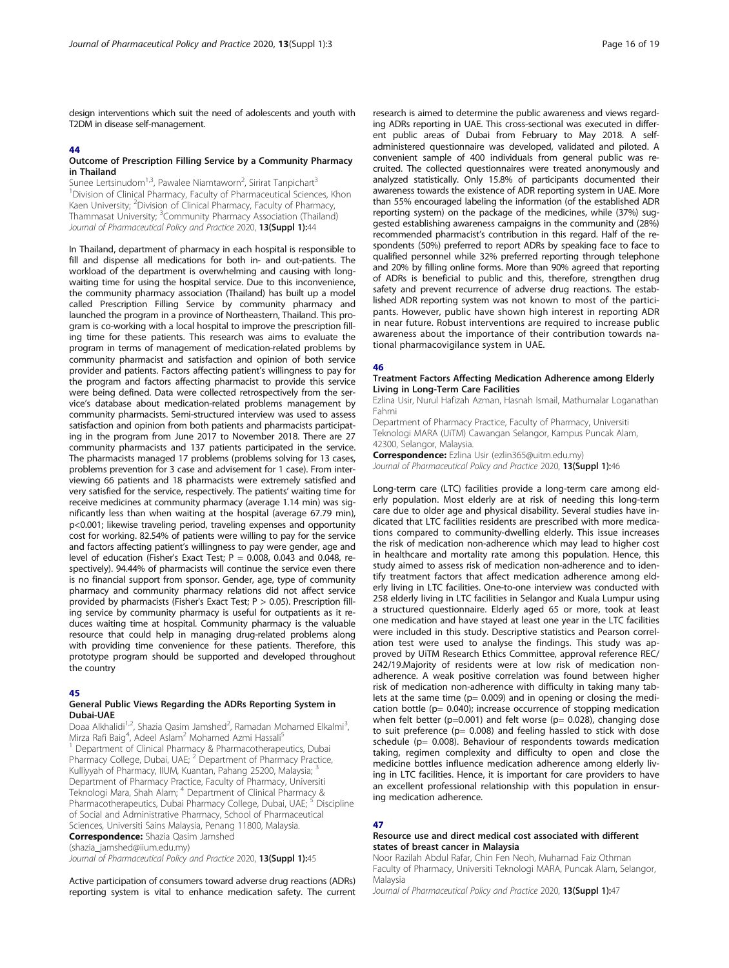design interventions which suit the need of adolescents and youth with T2DM in disease self-management.

#### 44

#### Outcome of Prescription Filling Service by a Community Pharmacy in Thailand

Sunee Lertsinudom<sup>1,3</sup>, Pawalee Niamtaworn<sup>2</sup>, Sirirat Tanpichart<sup>3</sup> <sup>1</sup> Division of Clinical Pharmacy, Faculty of Pharmaceutical Sciences, Khon Kaen University; <sup>2</sup>Division of Clinical Pharmacy, Faculty of Pharmacy, Thammasat University; <sup>3</sup>Community Pharmacy Association (Thailand) Journal of Pharmaceutical Policy and Practice 2020, 13(Suppl 1):44

In Thailand, department of pharmacy in each hospital is responsible to fill and dispense all medications for both in- and out-patients. The workload of the department is overwhelming and causing with longwaiting time for using the hospital service. Due to this inconvenience, the community pharmacy association (Thailand) has built up a model called Prescription Filling Service by community pharmacy and launched the program in a province of Northeastern, Thailand. This program is co-working with a local hospital to improve the prescription filling time for these patients. This research was aims to evaluate the program in terms of management of medication-related problems by community pharmacist and satisfaction and opinion of both service provider and patients. Factors affecting patient's willingness to pay for the program and factors affecting pharmacist to provide this service were being defined. Data were collected retrospectively from the service's database about medication-related problems management by community pharmacists. Semi-structured interview was used to assess satisfaction and opinion from both patients and pharmacists participating in the program from June 2017 to November 2018. There are 27 community pharmacists and 137 patients participated in the service. The pharmacists managed 17 problems (problems solving for 13 cases, problems prevention for 3 case and advisement for 1 case). From interviewing 66 patients and 18 pharmacists were extremely satisfied and very satisfied for the service, respectively. The patients' waiting time for receive medicines at community pharmacy (average 1.14 min) was significantly less than when waiting at the hospital (average 67.79 min), p<0.001; likewise traveling period, traveling expenses and opportunity cost for working. 82.54% of patients were willing to pay for the service and factors affecting patient's willingness to pay were gender, age and level of education (Fisher's Exact Test;  $P = 0.008$ , 0.043 and 0.048, respectively). 94.44% of pharmacists will continue the service even there is no financial support from sponsor. Gender, age, type of community pharmacy and community pharmacy relations did not affect service provided by pharmacists (Fisher's Exact Test; P > 0.05). Prescription filling service by community pharmacy is useful for outpatients as it reduces waiting time at hospital. Community pharmacy is the valuable resource that could help in managing drug-related problems along with providing time convenience for these patients. Therefore, this prototype program should be supported and developed throughout the country

#### 45

#### General Public Views Regarding the ADRs Reporting System in Dubai-UAE

Doaa Alkhalidi<sup>1,2</sup>, Shazia Qasim Jamshed<sup>2</sup>, Ramadan Mohamed Elkalmi<sup>3</sup> , Mirza Rafi Baig<sup>4</sup>, Adeel Aslam<sup>2</sup> Mohamed Azmi Hassali<sup>5</sup>

<sup>1</sup> Department of Clinical Pharmacy & Pharmacotherapeutics, Dubai Pharmacy College, Dubai, UAE; <sup>2</sup> Department of Pharmacy Practice, Kulliyyah of Pharmacy, IIUM, Kuantan, Pahang 25200, Malaysia; <sup>3</sup> Department of Pharmacy Practice, Faculty of Pharmacy, Universiti Teknologi Mara, Shah Alam; <sup>4</sup> Department of Clinical Pharmacy & Pharmacotherapeutics, Dubai Pharmacy College, Dubai, UAE; <sup>5</sup> Discipline of Social and Administrative Pharmacy, School of Pharmaceutical Sciences, Universiti Sains Malaysia, Penang 11800, Malaysia. **Correspondence:** Shazia Qasim Jamshed

(shazia\_jamshed@iium.edu.my)

Journal of Pharmaceutical Policy and Practice 2020, 13(Suppl 1):45

Active participation of consumers toward adverse drug reactions (ADRs) reporting system is vital to enhance medication safety. The current research is aimed to determine the public awareness and views regarding ADRs reporting in UAE. This cross-sectional was executed in different public areas of Dubai from February to May 2018. A selfadministered questionnaire was developed, validated and piloted. A convenient sample of 400 individuals from general public was recruited. The collected questionnaires were treated anonymously and analyzed statistically. Only 15.8% of participants documented their awareness towards the existence of ADR reporting system in UAE. More than 55% encouraged labeling the information (of the established ADR reporting system) on the package of the medicines, while (37%) suggested establishing awareness campaigns in the community and (28%) recommended pharmacist's contribution in this regard. Half of the respondents (50%) preferred to report ADRs by speaking face to face to qualified personnel while 32% preferred reporting through telephone and 20% by filling online forms. More than 90% agreed that reporting of ADRs is beneficial to public and this, therefore, strengthen drug safety and prevent recurrence of adverse drug reactions. The established ADR reporting system was not known to most of the participants. However, public have shown high interest in reporting ADR in near future. Robust interventions are required to increase public awareness about the importance of their contribution towards national pharmacovigilance system in UAE.

#### 46

#### Treatment Factors Affecting Medication Adherence among Elderly Living in Long-Term Care Facilities

Ezlina Usir, Nurul Hafizah Azman, Hasnah Ismail, Mathumalar Loganathan Fahrni

Department of Pharmacy Practice, Faculty of Pharmacy, Universiti Teknologi MARA (UiTM) Cawangan Selangor, Kampus Puncak Alam, 42300, Selangor, Malaysia.

Correspondence: Ezlina Usir (ezlin365@uitm.edu.my) Journal of Pharmaceutical Policy and Practice 2020, 13(Suppl 1):46

Long-term care (LTC) facilities provide a long-term care among elderly population. Most elderly are at risk of needing this long-term care due to older age and physical disability. Several studies have indicated that LTC facilities residents are prescribed with more medications compared to community-dwelling elderly. This issue increases the risk of medication non-adherence which may lead to higher cost in healthcare and mortality rate among this population. Hence, this study aimed to assess risk of medication non-adherence and to identify treatment factors that affect medication adherence among elderly living in LTC facilities. One-to-one interview was conducted with 258 elderly living in LTC facilities in Selangor and Kuala Lumpur using a structured questionnaire. Elderly aged 65 or more, took at least one medication and have stayed at least one year in the LTC facilities were included in this study. Descriptive statistics and Pearson correlation test were used to analyse the findings. This study was approved by UiTM Research Ethics Committee, approval reference REC/ 242/19.Majority of residents were at low risk of medication nonadherence. A weak positive correlation was found between higher risk of medication non-adherence with difficulty in taking many tablets at the same time ( $p= 0.009$ ) and in opening or closing the medication bottle (p= 0.040); increase occurrence of stopping medication when felt better ( $p=0.001$ ) and felt worse ( $p= 0.028$ ), changing dose to suit preference ( $p= 0.008$ ) and feeling hassled to stick with dose schedule (p= 0.008). Behaviour of respondents towards medication taking, regimen complexity and difficulty to open and close the medicine bottles influence medication adherence among elderly living in LTC facilities. Hence, it is important for care providers to have an excellent professional relationship with this population in ensuring medication adherence.

#### 47

#### Resource use and direct medical cost associated with different states of breast cancer in Malaysia

Noor Razilah Abdul Rafar, Chin Fen Neoh, Muhamad Faiz Othman Faculty of Pharmacy, Universiti Teknologi MARA, Puncak Alam, Selangor, **Malaysia** 

Journal of Pharmaceutical Policy and Practice 2020, 13(Suppl 1):47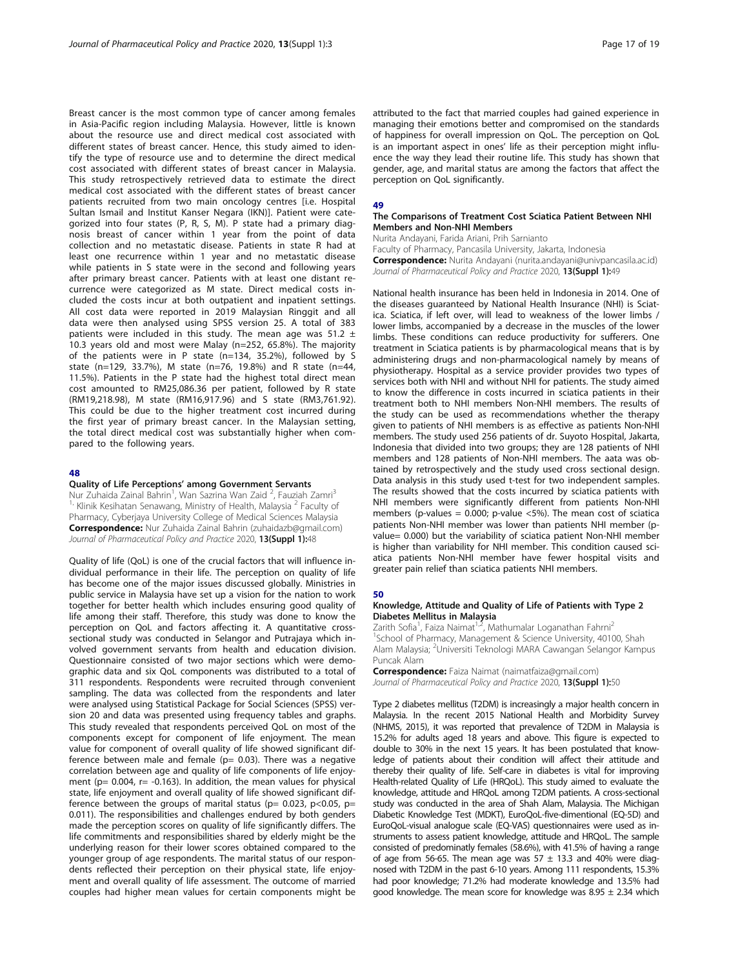Breast cancer is the most common type of cancer among females in Asia-Pacific region including Malaysia. However, little is known about the resource use and direct medical cost associated with different states of breast cancer. Hence, this study aimed to identify the type of resource use and to determine the direct medical cost associated with different states of breast cancer in Malaysia. This study retrospectively retrieved data to estimate the direct medical cost associated with the different states of breast cancer patients recruited from two main oncology centres [i.e. Hospital Sultan Ismail and Institut Kanser Negara (IKN)]. Patient were categorized into four states (P, R, S, M). P state had a primary diagnosis breast of cancer within 1 year from the point of data collection and no metastatic disease. Patients in state R had at least one recurrence within 1 year and no metastatic disease while patients in S state were in the second and following years after primary breast cancer. Patients with at least one distant recurrence were categorized as M state. Direct medical costs included the costs incur at both outpatient and inpatient settings. All cost data were reported in 2019 Malaysian Ringgit and all data were then analysed using SPSS version 25. A total of 383 patients were included in this study. The mean age was 51.2  $\pm$ 10.3 years old and most were Malay (n=252, 65.8%). The majority of the patients were in P state (n=134, 35.2%), followed by S state (n=129, 33.7%), M state (n=76, 19.8%) and R state (n=44, 11.5%). Patients in the P state had the highest total direct mean cost amounted to RM25,086.36 per patient, followed by R state (RM19,218.98), M state (RM16,917.96) and S state (RM3,761.92). This could be due to the higher treatment cost incurred during the first year of primary breast cancer. In the Malaysian setting, the total direct medical cost was substantially higher when compared to the following years.

#### 48

#### Quality of Life Perceptions' among Government Servants

Nur Zuhaida Zainal Bahrin<sup>1</sup>, Wan Sazrina Wan Zaid<sup>2</sup>, Fauziah Zamri<sup>3</sup>  $1$ , Klinik Kesihatan Senawang, Ministry of Health, Malaysia  $2$  Faculty of Pharmacy, Cyberjaya University College of Medical Sciences Malaysia Correspondence: Nur Zuhaida Zainal Bahrin (zuhaidazb@gmail.com) Journal of Pharmaceutical Policy and Practice 2020, 13(Suppl 1):48

Quality of life (QoL) is one of the crucial factors that will influence individual performance in their life. The perception on quality of life has become one of the major issues discussed globally. Ministries in public service in Malaysia have set up a vision for the nation to work together for better health which includes ensuring good quality of life among their staff. Therefore, this study was done to know the perception on QoL and factors affecting it. A quantitative crosssectional study was conducted in Selangor and Putrajaya which involved government servants from health and education division. Questionnaire consisted of two major sections which were demographic data and six QoL components was distributed to a total of 311 respondents. Respondents were recruited through convenient sampling. The data was collected from the respondents and later were analysed using Statistical Package for Social Sciences (SPSS) version 20 and data was presented using frequency tables and graphs. This study revealed that respondents perceived QoL on most of the components except for component of life enjoyment. The mean value for component of overall quality of life showed significant difference between male and female ( $p= 0.03$ ). There was a negative correlation between age and quality of life components of life enjoyment ( $p= 0.004$ ,  $r= -0.163$ ). In addition, the mean values for physical state, life enjoyment and overall quality of life showed significant difference between the groups of marital status ( $p= 0.023$ ,  $p<0.05$ ,  $p=$ 0.011). The responsibilities and challenges endured by both genders made the perception scores on quality of life significantly differs. The life commitments and responsibilities shared by elderly might be the underlying reason for their lower scores obtained compared to the younger group of age respondents. The marital status of our respondents reflected their perception on their physical state, life enjoyment and overall quality of life assessment. The outcome of married couples had higher mean values for certain components might be

attributed to the fact that married couples had gained experience in managing their emotions better and compromised on the standards of happiness for overall impression on QoL. The perception on QoL is an important aspect in ones' life as their perception might influence the way they lead their routine life. This study has shown that gender, age, and marital status are among the factors that affect the perception on QoL significantly.

#### 49

#### The Comparisons of Treatment Cost Sciatica Patient Between NHI Members and Non-NHI Members

Nurita Andayani, Farida Ariani, Prih Sarnianto Faculty of Pharmacy, Pancasila University, Jakarta, Indonesia Correspondence: Nurita Andayani (nurita.andayani@univpancasila.ac.id) Journal of Pharmaceutical Policy and Practice 2020, 13(Suppl 1):49

National health insurance has been held in Indonesia in 2014. One of the diseases guaranteed by National Health Insurance (NHI) is Sciatica. Sciatica, if left over, will lead to weakness of the lower limbs / lower limbs, accompanied by a decrease in the muscles of the lower limbs. These conditions can reduce productivity for sufferers. One treatment in Sciatica patients is by pharmacological means that is by administering drugs and non-pharmacological namely by means of physiotherapy. Hospital as a service provider provides two types of services both with NHI and without NHI for patients. The study aimed to know the difference in costs incurred in sciatica patients in their treatment both to NHI members Non-NHI members. The results of the study can be used as recommendations whether the therapy given to patients of NHI members is as effective as patients Non-NHI members. The study used 256 patients of dr. Suyoto Hospital, Jakarta, Indonesia that divided into two groups; they are 128 patients of NHI members and 128 patients of Non-NHI members. The aata was obtained by retrospectively and the study used cross sectional design. Data analysis in this study used t-test for two independent samples. The results showed that the costs incurred by sciatica patients with NHI members were significantly different from patients Non-NHI members (p-values =  $0.000$ ; p-value <5%). The mean cost of sciatica patients Non-NHI member was lower than patients NHI member (pvalue= 0.000) but the variability of sciatica patient Non-NHI member is higher than variability for NHI member. This condition caused sciatica patients Non-NHI member have fewer hospital visits and greater pain relief than sciatica patients NHI members.

#### 50

#### Knowledge, Attitude and Quality of Life of Patients with Type 2 Diabetes Mellitus in Malaysia

Zarith Sofia<sup>1</sup>, Faiza Naimat<sup>1,2</sup>, Mathumalar Loganathan Fahrni<sup>2</sup> <sup>1</sup>School of Pharmacy, Management & Science University, 40100, Shah Alam Malaysia; <sup>2</sup>Universiti Teknologi MARA Cawangan Selangor Kampus Puncak Alam

Correspondence: Faiza Naimat (naimatfaiza@gmail.com) Journal of Pharmaceutical Policy and Practice 2020, 13(Suppl 1):50

Type 2 diabetes mellitus (T2DM) is increasingly a major health concern in Malaysia. In the recent 2015 National Health and Morbidity Survey (NHMS, 2015), it was reported that prevalence of T2DM in Malaysia is 15.2% for adults aged 18 years and above. This figure is expected to double to 30% in the next 15 years. It has been postulated that knowledge of patients about their condition will affect their attitude and thereby their quality of life. Self-care in diabetes is vital for improving Health-related Quality of Life (HRQoL). This study aimed to evaluate the knowledge, attitude and HRQoL among T2DM patients. A cross-sectional study was conducted in the area of Shah Alam, Malaysia. The Michigan Diabetic Knowledge Test (MDKT), EuroQoL-five-dimentional (EQ-5D) and EuroQoL-visual analogue scale (EQ-VAS) questionnaires were used as instruments to assess patient knowledge, attitude and HRQoL. The sample consisted of predominatly females (58.6%), with 41.5% of having a range of age from 56-65. The mean age was  $57 \pm 13.3$  and 40% were diagnosed with T2DM in the past 6-10 years. Among 111 respondents, 15.3% had poor knowledge; 71.2% had moderate knowledge and 13.5% had good knowledge. The mean score for knowledge was  $8.95 \pm 2.34$  which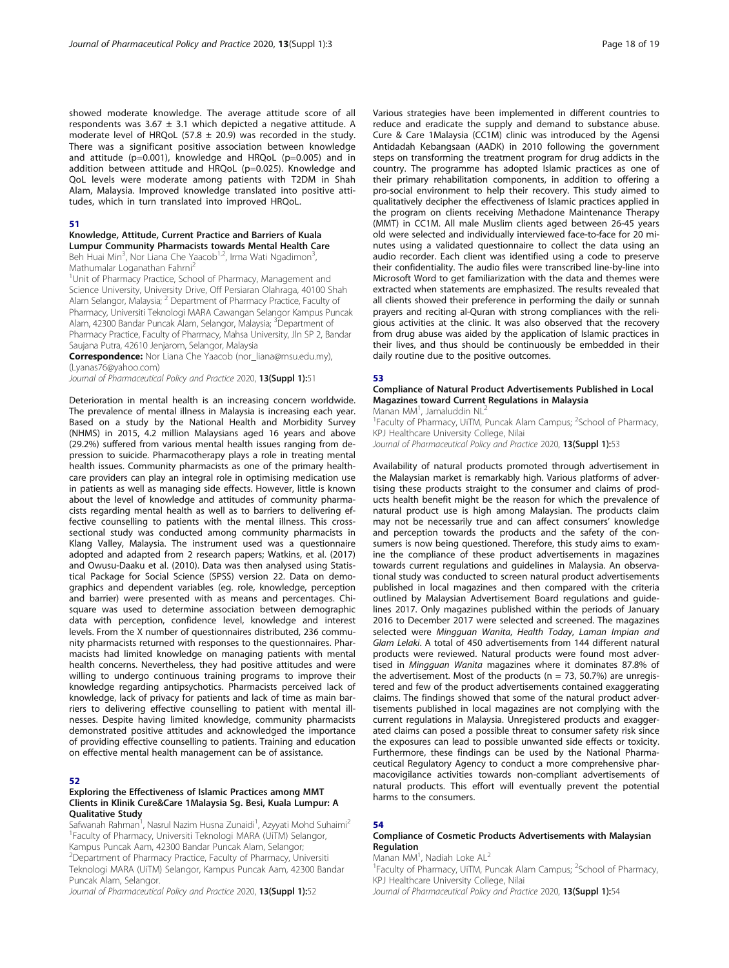showed moderate knowledge. The average attitude score of all respondents was  $3.67 \pm 3.1$  which depicted a negative attitude. A moderate level of HRQoL (57.8  $\pm$  20.9) was recorded in the study. There was a significant positive association between knowledge and attitude (p=0.001), knowledge and HRQoL (p=0.005) and in addition between attitude and HRQoL (p=0.025). Knowledge and QoL levels were moderate among patients with T2DM in Shah Alam, Malaysia. Improved knowledge translated into positive attitudes, which in turn translated into improved HRQoL.

#### 51

## Knowledge, Attitude, Current Practice and Barriers of Kuala

**Lumpur Community Pharmacists towards Mental Health Care**<br>Beh Huai Min<sup>3</sup>, Nor Liana Che Yaacob<sup>1,2</sup>, Irma Wati Ngadimon<sup>3</sup>, Mathumalar Loganathan Fahrni<sup>2</sup>

<sup>1</sup>Unit of Pharmacy Practice, School of Pharmacy, Management and Science University, University Drive, Off Persiaran Olahraga, 40100 Shah Alam Selangor, Malaysia; <sup>2</sup> Department of Pharmacy Practice, Faculty of Pharmacy, Universiti Teknologi MARA Cawangan Selangor Kampus Puncak Alam, 42300 Bandar Puncak Alam, Selangor, Malaysia; <sup>3</sup>Department of Pharmacy Practice, Faculty of Pharmacy, Mahsa University, Jln SP 2, Bandar Saujana Putra, 42610 Jenjarom, Selangor, Malaysia

Correspondence: Nor Liana Che Yaacob (nor\_liana@msu.edu.my), (Lyanas76@yahoo.com)

Journal of Pharmaceutical Policy and Practice 2020, 13(Suppl 1):51

Deterioration in mental health is an increasing concern worldwide. The prevalence of mental illness in Malaysia is increasing each year. Based on a study by the National Health and Morbidity Survey (NHMS) in 2015, 4.2 million Malaysians aged 16 years and above (29.2%) suffered from various mental health issues ranging from depression to suicide. Pharmacotherapy plays a role in treating mental health issues. Community pharmacists as one of the primary healthcare providers can play an integral role in optimising medication use in patients as well as managing side effects. However, little is known about the level of knowledge and attitudes of community pharmacists regarding mental health as well as to barriers to delivering effective counselling to patients with the mental illness. This crosssectional study was conducted among community pharmacists in Klang Valley, Malaysia. The instrument used was a questionnaire adopted and adapted from 2 research papers; Watkins, et al. (2017) and Owusu-Daaku et al. (2010). Data was then analysed using Statistical Package for Social Science (SPSS) version 22. Data on demographics and dependent variables (eg. role, knowledge, perception and barrier) were presented with as means and percentages. Chisquare was used to determine association between demographic data with perception, confidence level, knowledge and interest levels. From the X number of questionnaires distributed, 236 community pharmacists returned with responses to the questionnaires. Pharmacists had limited knowledge on managing patients with mental health concerns. Nevertheless, they had positive attitudes and were willing to undergo continuous training programs to improve their knowledge regarding antipsychotics. Pharmacists perceived lack of knowledge, lack of privacy for patients and lack of time as main barriers to delivering effective counselling to patient with mental illnesses. Despite having limited knowledge, community pharmacists demonstrated positive attitudes and acknowledged the importance of providing effective counselling to patients. Training and education on effective mental health management can be of assistance.

#### 52

#### Exploring the Effectiveness of Islamic Practices among MMT Clients in Klinik Cure&Care 1Malaysia Sg. Besi, Kuala Lumpur: A Qualitative Study

Safwanah Rahman<sup>1</sup>, Nasrul Nazim Husna Zunaidi<sup>1</sup>, Azyyati Mohd Suhaimi<sup>2</sup> <sup>1</sup> Faculty of Pharmacy, Universiti Teknologi MARA (UiTM) Selangor, Kampus Puncak Aam, 42300 Bandar Puncak Alam, Selangor; 2 Department of Pharmacy Practice, Faculty of Pharmacy, Universiti Teknologi MARA (UiTM) Selangor, Kampus Puncak Aam, 42300 Bandar Puncak Alam, Selangor.

Journal of Pharmaceutical Policy and Practice 2020, 13(Suppl 1):52

Various strategies have been implemented in different countries to reduce and eradicate the supply and demand to substance abuse. Cure & Care 1Malaysia (CC1M) clinic was introduced by the Agensi Antidadah Kebangsaan (AADK) in 2010 following the government steps on transforming the treatment program for drug addicts in the country. The programme has adopted Islamic practices as one of their primary rehabilitation components, in addition to offering a pro-social environment to help their recovery. This study aimed to qualitatively decipher the effectiveness of Islamic practices applied in the program on clients receiving Methadone Maintenance Therapy (MMT) in CC1M. All male Muslim clients aged between 26-45 years old were selected and individually interviewed face-to-face for 20 minutes using a validated questionnaire to collect the data using an audio recorder. Each client was identified using a code to preserve their confidentiality. The audio files were transcribed line-by-line into Microsoft Word to get familiarization with the data and themes were extracted when statements are emphasized. The results revealed that all clients showed their preference in performing the daily or sunnah prayers and reciting al-Quran with strong compliances with the religious activities at the clinic. It was also observed that the recovery from drug abuse was aided by the application of Islamic practices in their lives, and thus should be continuously be embedded in their daily routine due to the positive outcomes.

#### 53

,

#### Compliance of Natural Product Advertisements Published in Local Magazines toward Current Regulations in Malaysia Manan MM<sup>1</sup>, Jamaluddin NL<sup>2</sup>

<sup>1</sup> Faculty of Pharmacy, UiTM, Puncak Alam Campus; <sup>2</sup> School of Pharmacy, KPJ Healthcare University College, Nilai

Journal of Pharmaceutical Policy and Practice 2020, 13(Suppl 1):53

Availability of natural products promoted through advertisement in the Malaysian market is remarkably high. Various platforms of advertising these products straight to the consumer and claims of products health benefit might be the reason for which the prevalence of natural product use is high among Malaysian. The products claim may not be necessarily true and can affect consumers' knowledge and perception towards the products and the safety of the consumers is now being questioned. Therefore, this study aims to examine the compliance of these product advertisements in magazines towards current regulations and guidelines in Malaysia. An observational study was conducted to screen natural product advertisements published in local magazines and then compared with the criteria outlined by Malaysian Advertisement Board regulations and guidelines 2017. Only magazines published within the periods of January 2016 to December 2017 were selected and screened. The magazines selected were Mingguan Wanita, Health Today, Laman Impian and Glam Lelaki. A total of 450 advertisements from 144 different natural products were reviewed. Natural products were found most advertised in Mingguan Wanita magazines where it dominates 87.8% of the advertisement. Most of the products ( $n = 73$ , 50.7%) are unregistered and few of the product advertisements contained exaggerating claims. The findings showed that some of the natural product advertisements published in local magazines are not complying with the current regulations in Malaysia. Unregistered products and exaggerated claims can posed a possible threat to consumer safety risk since the exposures can lead to possible unwanted side effects or toxicity. Furthermore, these findings can be used by the National Pharmaceutical Regulatory Agency to conduct a more comprehensive pharmacovigilance activities towards non-compliant advertisements of natural products. This effort will eventually prevent the potential harms to the consumers.

#### 54

#### Compliance of Cosmetic Products Advertisements with Malaysian Regulation

Manan MM<sup>1</sup>, Nadiah Loke AL<sup>2</sup>

<sup>1</sup> Faculty of Pharmacy, UiTM, Puncak Alam Campus; <sup>2</sup> School of Pharmacy, KPJ Healthcare University College, Nilai

Journal of Pharmaceutical Policy and Practice 2020, 13(Suppl 1):54